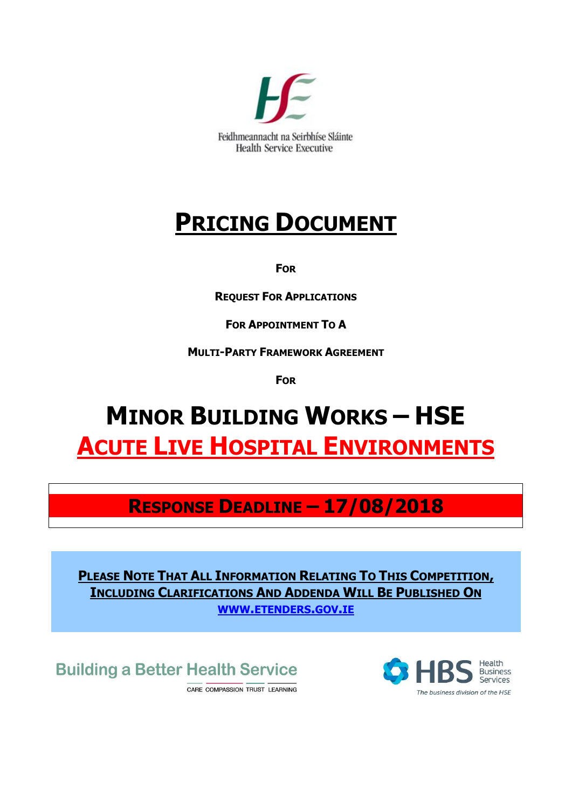

# **PRICING DOCUMENT**

**FOR**

**REQUEST FOR APPLICATIONS**

**FOR APPOINTMENT TO A**

**MULTI-PARTY FRAMEWORK AGREEMENT**

**FOR**

# **MINOR BUILDING WORKS – HSE ACUTE LIVE HOSPITAL ENVIRONMENTS**

# **RESPONSE DEADLINE – 17/08/2018**

**PLEASE NOTE THAT ALL INFORMATION RELATING TO THIS COMPETITION, INCLUDING CLARIFICATIONS AND ADDENDA WILL BE PUBLISHED ON WWW.[ETENDERS](http://www.etenders.gov.ie/).GOV.IE**

**Building a Better Health Service** 

CARE COMPASSION TRUST LEARNING

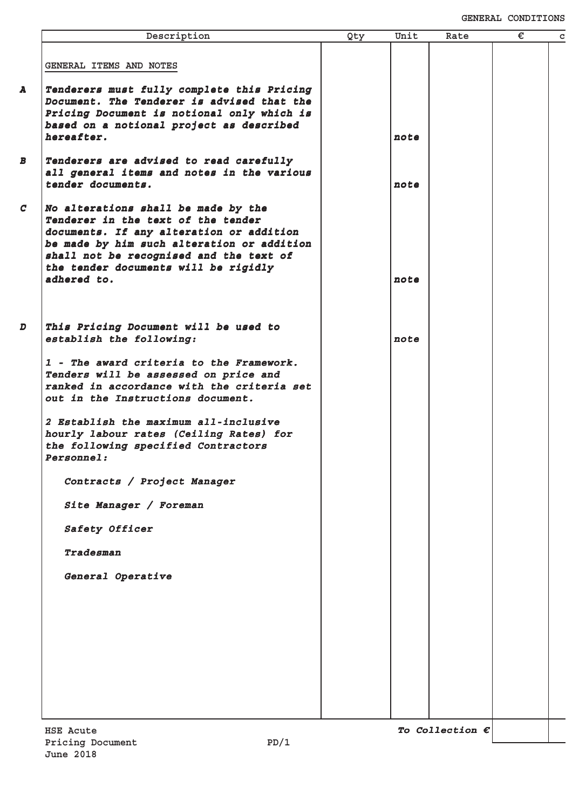| Description                                                                                                                                                                                                                                                           | Qty | Unit | Rate                     | € | C |
|-----------------------------------------------------------------------------------------------------------------------------------------------------------------------------------------------------------------------------------------------------------------------|-----|------|--------------------------|---|---|
| GENERAL ITEMS AND NOTES                                                                                                                                                                                                                                               |     |      |                          |   |   |
| Tenderers must fully complete this Pricing<br>Document. The Tenderer is advised that the<br>Pricing Document is notional only which is<br>based on a notional project as described<br>hereafter.                                                                      |     | note |                          |   |   |
| Tenderers are advised to read carefully<br>all general items and notes in the various<br>tender documents.                                                                                                                                                            |     | note |                          |   |   |
| No alterations shall be made by the<br>Tenderer in the text of the tender<br>documents. If any alteration or addition<br>be made by him such alteration or addition<br>shall not be recognised and the text of<br>the tender documents will be rigidly<br>adhered to. |     | note |                          |   |   |
| This Pricing Document will be used to<br>establish the following:                                                                                                                                                                                                     |     | note |                          |   |   |
| 1 - The award criteria to the Framework.<br>Tenders will be assessed on price and<br>ranked in accordance with the criteria set<br>out in the Instructions document.                                                                                                  |     |      |                          |   |   |
| 2 Establish the maximum all-inclusive<br>hourly labour rates (Ceiling Rates) for<br>the following specified Contractors<br><b>Personnel:</b>                                                                                                                          |     |      |                          |   |   |
| Contracts / Project Manager                                                                                                                                                                                                                                           |     |      |                          |   |   |
| Site Manager / Foreman                                                                                                                                                                                                                                                |     |      |                          |   |   |
| Safety Officer                                                                                                                                                                                                                                                        |     |      |                          |   |   |
| Tradesman                                                                                                                                                                                                                                                             |     |      |                          |   |   |
| General Operative                                                                                                                                                                                                                                                     |     |      |                          |   |   |
|                                                                                                                                                                                                                                                                       |     |      |                          |   |   |
|                                                                                                                                                                                                                                                                       |     |      |                          |   |   |
| <b>HSE Acute</b><br>PD/1<br>Pricing Document                                                                                                                                                                                                                          |     |      | To Collection $\epsilon$ |   |   |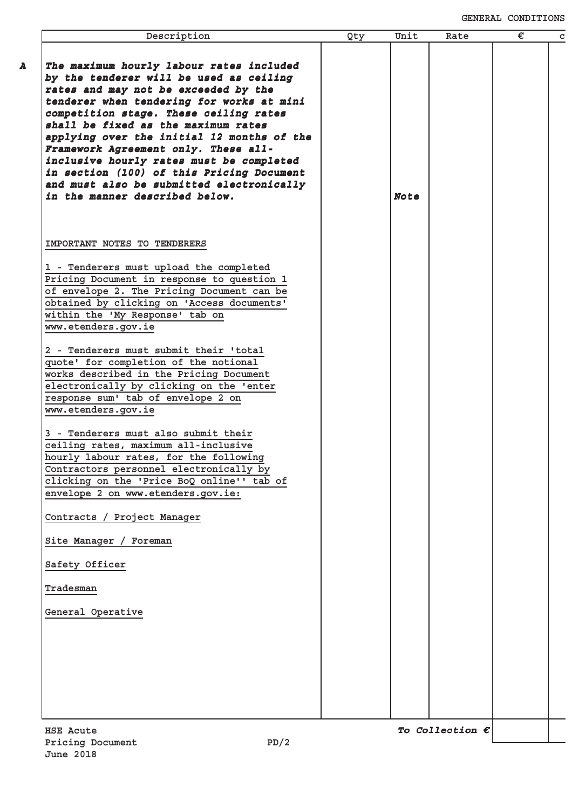| Description                                                                                                                                                                                                                                                                                                                                                                                                                                                                                                             | Qty | Unit        | Rate                     | € | $\mathbf C$ |
|-------------------------------------------------------------------------------------------------------------------------------------------------------------------------------------------------------------------------------------------------------------------------------------------------------------------------------------------------------------------------------------------------------------------------------------------------------------------------------------------------------------------------|-----|-------------|--------------------------|---|-------------|
| The maximum hourly labour rates included<br>by the tenderer will be used as ceiling<br>rates and may not be exceeded by the<br>tenderer when tendering for works at mini<br>competition stage. These ceiling rates<br>shall be fixed as the maximum rates<br>applying over the initial 12 months of the<br>Framework Agreement only. These all-<br>inclusive hourly rates must be completed<br>in section (100) of this Pricing Document<br>and must also be submitted electronically<br>in the manner described below. |     | <b>Note</b> |                          |   |             |
| IMPORTANT NOTES TO TENDERERS<br>1 - Tenderers must upload the completed<br>Pricing Document in response to question 1<br>of envelope 2. The Pricing Document can be                                                                                                                                                                                                                                                                                                                                                     |     |             |                          |   |             |
| obtained by clicking on 'Access documents'<br>within the 'My Response' tab on<br>www.etenders.gov.ie<br>2 - Tenderers must submit their 'total                                                                                                                                                                                                                                                                                                                                                                          |     |             |                          |   |             |
| quote' for completion of the notional<br>works described in the Pricing Document<br>electronically by clicking on the 'enter<br>response sum' tab of envelope 2 on<br>www.etenders.gov.ie                                                                                                                                                                                                                                                                                                                               |     |             |                          |   |             |
| 3 - Tenderers must also submit their<br>ceiling rates, maximum all-inclusive<br>hourly labour rates, for the following<br>Contractors personnel electronically by<br>clicking on the 'Price BoQ online'' tab of<br>envelope 2 on www.etenders.gov.ie:                                                                                                                                                                                                                                                                   |     |             |                          |   |             |
| Contracts / Project Manager                                                                                                                                                                                                                                                                                                                                                                                                                                                                                             |     |             |                          |   |             |
| Site Manager / Foreman<br>Safety Officer                                                                                                                                                                                                                                                                                                                                                                                                                                                                                |     |             |                          |   |             |
| Tradesman                                                                                                                                                                                                                                                                                                                                                                                                                                                                                                               |     |             |                          |   |             |
| General Operative                                                                                                                                                                                                                                                                                                                                                                                                                                                                                                       |     |             |                          |   |             |
|                                                                                                                                                                                                                                                                                                                                                                                                                                                                                                                         |     |             |                          |   |             |
| <b>HSE Acute</b><br>PD/2<br>Pricing Document                                                                                                                                                                                                                                                                                                                                                                                                                                                                            |     |             | To Collection $\epsilon$ |   |             |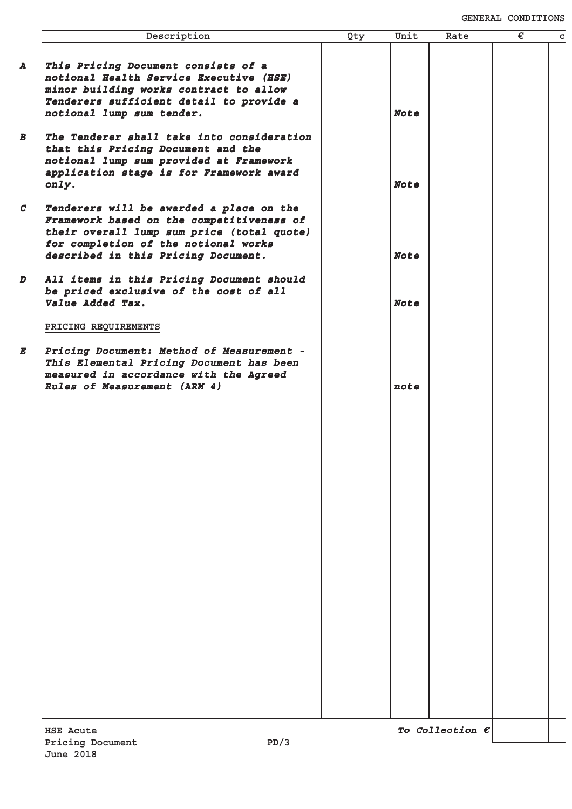|                  | Description                                                                                                                                                                                                        | Qty | Unit        | Rate                     | € | $\mathbf c$ |
|------------------|--------------------------------------------------------------------------------------------------------------------------------------------------------------------------------------------------------------------|-----|-------------|--------------------------|---|-------------|
| A                | This Pricing Document consists of a<br>notional Health Service Executive (HSE)<br>minor building works contract to allow<br>Tenderers sufficient detail to provide a<br>notional lump sum tender.                  |     | <b>Note</b> |                          |   |             |
| $\boldsymbol{B}$ | The Tenderer shall take into consideration<br>that this Pricing Document and the<br>notional lump sum provided at Framework<br>application stage is for Framework award<br>only.                                   |     | <b>Note</b> |                          |   |             |
| $\mathcal{C}$    | Tenderers will be awarded a place on the<br>Framework based on the competitiveness of<br>their overall lump sum price (total quote)<br>for completion of the notional works<br>described in this Pricing Document. |     | <b>Note</b> |                          |   |             |
| $\boldsymbol{D}$ | All items in this Pricing Document should<br>be priced exclusive of the cost of all<br>Value Added Tax.                                                                                                            |     | <b>Note</b> |                          |   |             |
| E                | PRICING REQUIREMENTS<br>Pricing Document: Method of Measurement -<br>This Elemental Pricing Document has been<br>measured in accordance with the Agreed<br>Rules of Measurement (ARM 4)                            |     | note        |                          |   |             |
|                  |                                                                                                                                                                                                                    |     |             |                          |   |             |
|                  |                                                                                                                                                                                                                    |     |             |                          |   |             |
|                  |                                                                                                                                                                                                                    |     |             |                          |   |             |
|                  |                                                                                                                                                                                                                    |     |             |                          |   |             |
|                  |                                                                                                                                                                                                                    |     |             |                          |   |             |
|                  | <b>HSE Acute</b>                                                                                                                                                                                                   |     |             | To Collection $\epsilon$ |   |             |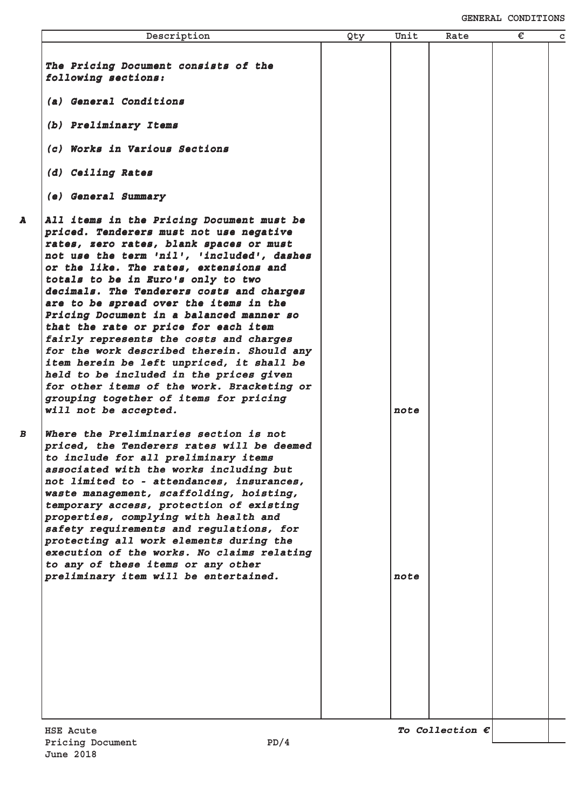| Description                                                                                                                                                                                                                                                                                                                                                                                                                                                                                                                                                                                                                                                                                                                                | Qty | Unit | Rate                     | € | C |
|--------------------------------------------------------------------------------------------------------------------------------------------------------------------------------------------------------------------------------------------------------------------------------------------------------------------------------------------------------------------------------------------------------------------------------------------------------------------------------------------------------------------------------------------------------------------------------------------------------------------------------------------------------------------------------------------------------------------------------------------|-----|------|--------------------------|---|---|
|                                                                                                                                                                                                                                                                                                                                                                                                                                                                                                                                                                                                                                                                                                                                            |     |      |                          |   |   |
| The Pricing Document consists of the<br>following sections:                                                                                                                                                                                                                                                                                                                                                                                                                                                                                                                                                                                                                                                                                |     |      |                          |   |   |
| (a) General Conditions                                                                                                                                                                                                                                                                                                                                                                                                                                                                                                                                                                                                                                                                                                                     |     |      |                          |   |   |
| (b) Preliminary Items                                                                                                                                                                                                                                                                                                                                                                                                                                                                                                                                                                                                                                                                                                                      |     |      |                          |   |   |
| (c) Works in Various Sections                                                                                                                                                                                                                                                                                                                                                                                                                                                                                                                                                                                                                                                                                                              |     |      |                          |   |   |
| (d) Ceiling Rates                                                                                                                                                                                                                                                                                                                                                                                                                                                                                                                                                                                                                                                                                                                          |     |      |                          |   |   |
| (e) General Summary                                                                                                                                                                                                                                                                                                                                                                                                                                                                                                                                                                                                                                                                                                                        |     |      |                          |   |   |
| All items in the Pricing Document must be<br>priced. Tenderers must not use negative<br>rates, zero rates, blank spaces or must<br>not use the term 'nil', 'included', dashes<br>or the like. The rates, extensions and<br>totals to be in Euro's only to two<br>decimals. The Tenderers costs and charges<br>are to be spread over the items in the<br>Pricing Document in a balanced manner so<br>that the rate or price for each item<br>fairly represents the costs and charges<br>for the work described therein. Should any<br>item herein be left unpriced, it shall be<br>held to be included in the prices given<br>for other items of the work. Bracketing or<br>grouping together of items for pricing<br>will not be accepted. |     | note |                          |   |   |
| Where the Preliminaries section is not<br>priced, the Tenderers rates will be deemed<br>to include for all preliminary items<br>associated with the works including but<br>not limited to - attendances, insurances,<br>waste management, scaffolding, hoisting,<br>temporary access, protection of existing<br>properties, complying with health and<br>safety requirements and regulations, for<br>protecting all work elements during the<br>execution of the works. No claims relating<br>to any of these items or any other<br>preliminary item will be entertained.                                                                                                                                                                  |     | note |                          |   |   |
|                                                                                                                                                                                                                                                                                                                                                                                                                                                                                                                                                                                                                                                                                                                                            |     |      |                          |   |   |
| HSE Acute<br>Pricing Document<br>PD/4                                                                                                                                                                                                                                                                                                                                                                                                                                                                                                                                                                                                                                                                                                      |     |      | To Collection $\epsilon$ |   |   |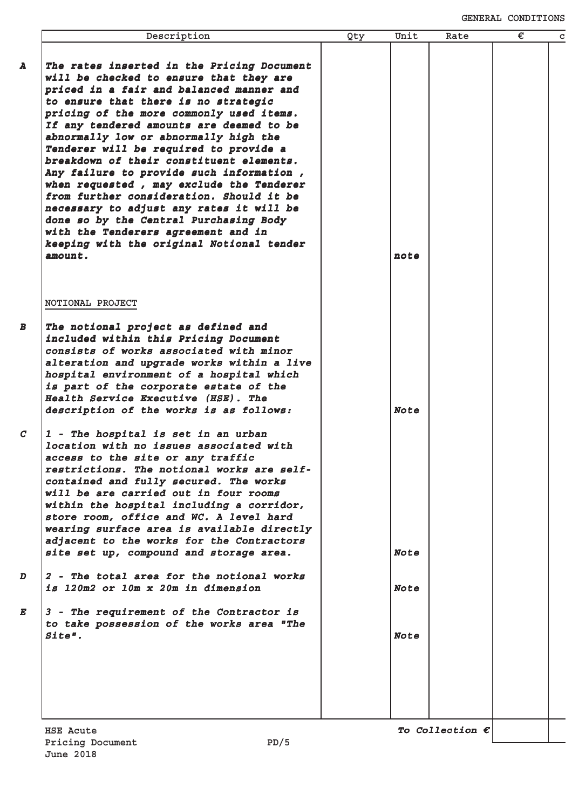| Description                                                                                                                                                                                                                                                                                                                                                                                                                                                                                                                                                                                                                                                                                                               | Qty | Unit        | Rate                     | € |
|---------------------------------------------------------------------------------------------------------------------------------------------------------------------------------------------------------------------------------------------------------------------------------------------------------------------------------------------------------------------------------------------------------------------------------------------------------------------------------------------------------------------------------------------------------------------------------------------------------------------------------------------------------------------------------------------------------------------------|-----|-------------|--------------------------|---|
| The rates inserted in the Pricing Document<br>will be checked to ensure that they are<br>priced in a fair and balanced manner and<br>to ensure that there is no strategic<br>pricing of the more commonly used items.<br>If any tendered amounts are deemed to be<br>abnormally low or abnormally high the<br>Tenderer will be required to provide a<br>breakdown of their constituent elements.<br>Any failure to provide such information,<br>when requested, may exclude the Tenderer<br>from further consideration. Should it be<br>necessary to adjust any rates it will be<br>done so by the Central Purchasing Body<br>with the Tenderers agreement and in<br>keeping with the original Notional tender<br>amount. |     | note        |                          |   |
| NOTIONAL PROJECT                                                                                                                                                                                                                                                                                                                                                                                                                                                                                                                                                                                                                                                                                                          |     |             |                          |   |
| The notional project as defined and<br>included within this Pricing Document<br>consists of works associated with minor<br>alteration and upgrade works within a live<br>hospital environment of a hospital which<br>is part of the corporate estate of the<br>Health Service Executive (HSE). The<br>description of the works is as follows:                                                                                                                                                                                                                                                                                                                                                                             |     | <b>Note</b> |                          |   |
| 1 - The hospital is set in an urban<br>location with no issues associated with<br>access to the site or any traffic<br>restrictions. The notional works are self-<br>contained and fully secured. The works<br>will be are carried out in four rooms<br>within the hospital including a corridor,<br>store room, office and WC. A level hard<br>wearing surface area is available directly<br>adjacent to the works for the Contractors<br>site set up, compound and storage area.                                                                                                                                                                                                                                        |     | <b>Note</b> |                          |   |
| 2 - The total area for the notional works<br>is 120m2 or 10m x 20m in dimension                                                                                                                                                                                                                                                                                                                                                                                                                                                                                                                                                                                                                                           |     | <b>Note</b> |                          |   |
| 3 - The requirement of the Contractor is<br>to take possession of the works area "The<br>Site".                                                                                                                                                                                                                                                                                                                                                                                                                                                                                                                                                                                                                           |     | <b>Note</b> |                          |   |
|                                                                                                                                                                                                                                                                                                                                                                                                                                                                                                                                                                                                                                                                                                                           |     |             |                          |   |
| HSE Acute                                                                                                                                                                                                                                                                                                                                                                                                                                                                                                                                                                                                                                                                                                                 |     |             | To Collection $\epsilon$ |   |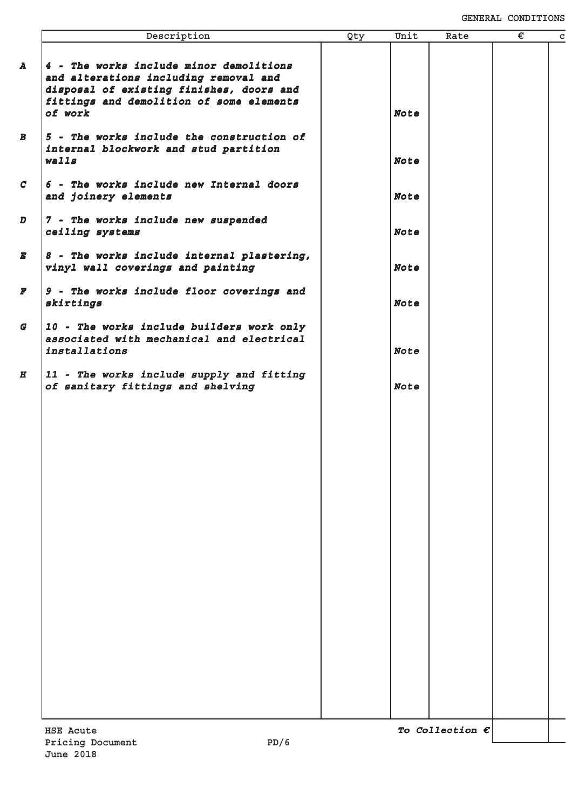|                  | Description                                                                                                                                                              | Qty | Unit        | Rate                     | € | $\mathbf c$ |
|------------------|--------------------------------------------------------------------------------------------------------------------------------------------------------------------------|-----|-------------|--------------------------|---|-------------|
| A                | 4 - The works include minor demolitions<br>and alterations including removal and<br>disposal of existing finishes, doors and<br>fittings and demolition of some elements |     |             |                          |   |             |
|                  | of work                                                                                                                                                                  |     | <b>Note</b> |                          |   |             |
| B                | 5 - The works include the construction of<br>internal blockwork and stud partition<br>walls                                                                              |     | <b>Note</b> |                          |   |             |
| $\mathcal{C}$    | 6 - The works include new Internal doors<br>and joinery elements                                                                                                         |     | <b>Note</b> |                          |   |             |
| $\boldsymbol{D}$ | 7 - The works include new suspended<br>ceiling systems                                                                                                                   |     | <b>Note</b> |                          |   |             |
| E                | 8 - The works include internal plastering,<br>vinyl wall coverings and painting                                                                                          |     | <b>Note</b> |                          |   |             |
| F                | 9 - The works include floor coverings and<br>skirtings                                                                                                                   |     | <b>Note</b> |                          |   |             |
| G                | 10 - The works include builders work only<br>associated with mechanical and electrical<br>installations                                                                  |     | <b>Note</b> |                          |   |             |
| H                | 11 - The works include supply and fitting<br>of sanitary fittings and shelving                                                                                           |     | <b>Note</b> |                          |   |             |
|                  |                                                                                                                                                                          |     |             |                          |   |             |
|                  |                                                                                                                                                                          |     |             |                          |   |             |
|                  |                                                                                                                                                                          |     |             |                          |   |             |
|                  |                                                                                                                                                                          |     |             |                          |   |             |
|                  |                                                                                                                                                                          |     |             |                          |   |             |
|                  |                                                                                                                                                                          |     |             |                          |   |             |
|                  |                                                                                                                                                                          |     |             |                          |   |             |
|                  |                                                                                                                                                                          |     |             |                          |   |             |
|                  |                                                                                                                                                                          |     |             |                          |   |             |
|                  | <b>HSE Acute</b>                                                                                                                                                         |     |             | To Collection $\epsilon$ |   |             |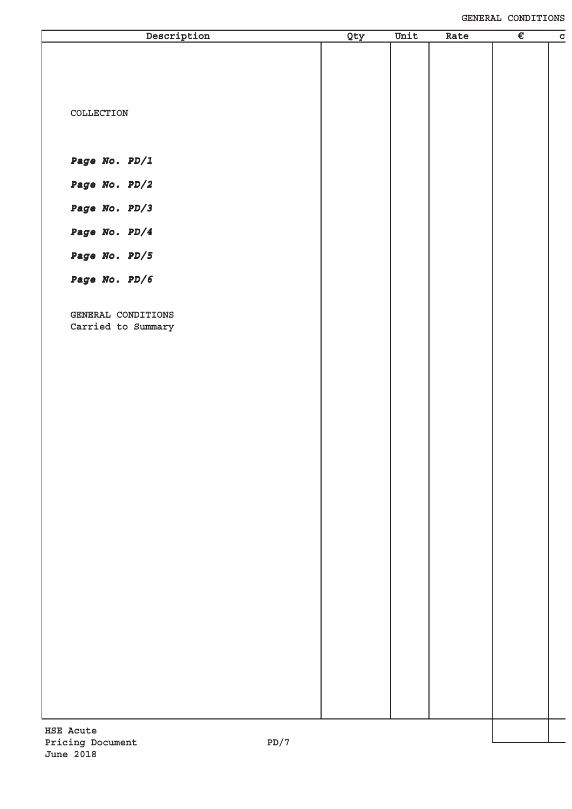| Description                      | Qty | Unit | Rate | $\overline{\epsilon}$ | $\overline{c}$ |
|----------------------------------|-----|------|------|-----------------------|----------------|
|                                  |     |      |      |                       |                |
|                                  |     |      |      |                       |                |
|                                  |     |      |      |                       |                |
| COLLECTION                       |     |      |      |                       |                |
|                                  |     |      |      |                       |                |
| Page No. PD/1                    |     |      |      |                       |                |
|                                  |     |      |      |                       |                |
| Page No. PD/2                    |     |      |      |                       |                |
| Page No. PD/3                    |     |      |      |                       |                |
| Page No. PD/4                    |     |      |      |                       |                |
| Page No. PD/5                    |     |      |      |                       |                |
| Page No. PD/6                    |     |      |      |                       |                |
|                                  |     |      |      |                       |                |
| GENERAL CONDITIONS               |     |      |      |                       |                |
| Carried to Summary               |     |      |      |                       |                |
|                                  |     |      |      |                       |                |
|                                  |     |      |      |                       |                |
|                                  |     |      |      |                       |                |
|                                  |     |      |      |                       |                |
|                                  |     |      |      |                       |                |
|                                  |     |      |      |                       |                |
|                                  |     |      |      |                       |                |
|                                  |     |      |      |                       |                |
|                                  |     |      |      |                       |                |
|                                  |     |      |      |                       |                |
|                                  |     |      |      |                       |                |
|                                  |     |      |      |                       |                |
|                                  |     |      |      |                       |                |
|                                  |     |      |      |                       |                |
|                                  |     |      |      |                       |                |
|                                  |     |      |      |                       |                |
|                                  |     |      |      |                       |                |
|                                  |     |      |      |                       |                |
| <b>HSE Acute</b>                 |     |      |      |                       |                |
| Pricing Document<br>7/ת <b>ס</b> |     |      |      |                       |                |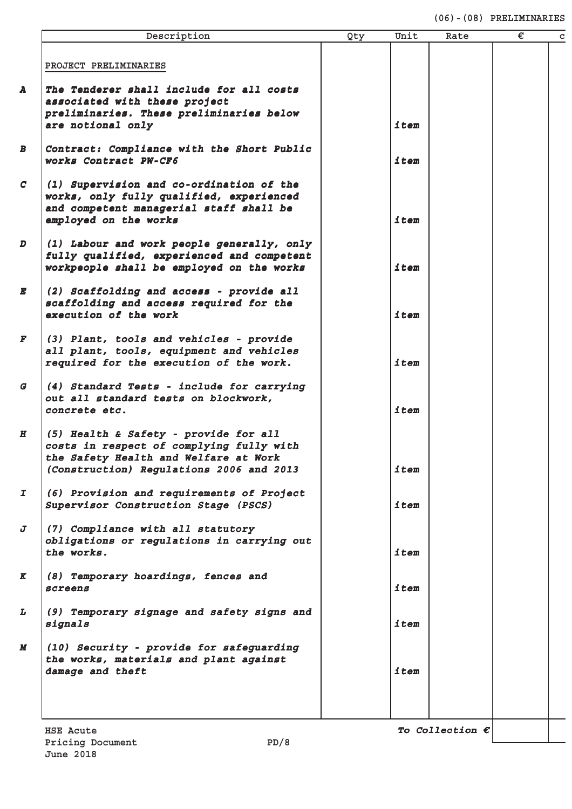#### **(06)-(08) PRELIMINARIES**

|               | Description                                                               | Qty | Unit | Rate                     | € | C |
|---------------|---------------------------------------------------------------------------|-----|------|--------------------------|---|---|
|               | PROJECT PRELIMINARIES                                                     |     |      |                          |   |   |
|               |                                                                           |     |      |                          |   |   |
| A             | The Tenderer shall include for all costs<br>associated with these project |     |      |                          |   |   |
|               | preliminaries. These preliminaries below                                  |     |      |                          |   |   |
|               | are notional only                                                         |     | item |                          |   |   |
| B             | Contract: Compliance with the Short Public                                |     |      |                          |   |   |
|               | works Contract PW-CF6                                                     |     | item |                          |   |   |
| $\mathcal{C}$ | (1) Supervision and co-ordination of the                                  |     |      |                          |   |   |
|               | works, only fully qualified, experienced                                  |     |      |                          |   |   |
|               | and competent managerial staff shall be                                   |     |      |                          |   |   |
|               | employed on the works                                                     |     | item |                          |   |   |
| D             | (1) Labour and work people generally, only                                |     |      |                          |   |   |
|               | fully qualified, experienced and competent                                |     |      |                          |   |   |
|               | workpeople shall be employed on the works                                 |     | item |                          |   |   |
| E             | (2) Scaffolding and access - provide all                                  |     |      |                          |   |   |
|               | scaffolding and access required for the                                   |     |      |                          |   |   |
|               | execution of the work                                                     |     | item |                          |   |   |
| F             | (3) Plant, tools and vehicles - provide                                   |     |      |                          |   |   |
|               | all plant, tools, equipment and vehicles                                  |     |      |                          |   |   |
|               | required for the execution of the work.                                   |     | item |                          |   |   |
| G             | (4) Standard Tests - include for carrying                                 |     |      |                          |   |   |
|               | out all standard tests on blockwork,                                      |     |      |                          |   |   |
|               | concrete etc.                                                             |     | item |                          |   |   |
| H             | (5) Health & Safety - provide for all                                     |     |      |                          |   |   |
|               | costs in respect of complying fully with                                  |     |      |                          |   |   |
|               | the Safety Health and Welfare at Work                                     |     |      |                          |   |   |
|               | (Construction) Regulations 2006 and 2013                                  |     | item |                          |   |   |
| I             | (6) Provision and requirements of Project                                 |     |      |                          |   |   |
|               | Supervisor Construction Stage (PSCS)                                      |     | item |                          |   |   |
| J             | (7) Compliance with all statutory                                         |     |      |                          |   |   |
|               | obligations or regulations in carrying out                                |     |      |                          |   |   |
|               | the works.                                                                |     | item |                          |   |   |
| K             | (8) Temporary hoardings, fences and                                       |     |      |                          |   |   |
|               | screens                                                                   |     | item |                          |   |   |
| L             | (9) Temporary signage and safety signs and                                |     |      |                          |   |   |
|               | signals                                                                   |     | item |                          |   |   |
| M             | (10) Security - provide for safeguarding                                  |     |      |                          |   |   |
|               | the works, materials and plant against                                    |     |      |                          |   |   |
|               | damage and theft                                                          |     | item |                          |   |   |
|               |                                                                           |     |      |                          |   |   |
|               |                                                                           |     |      |                          |   |   |
|               | <b>HSE Acute</b>                                                          |     |      | To Collection $\epsilon$ |   |   |
|               | PD/8<br>Pricing Document                                                  |     |      |                          |   |   |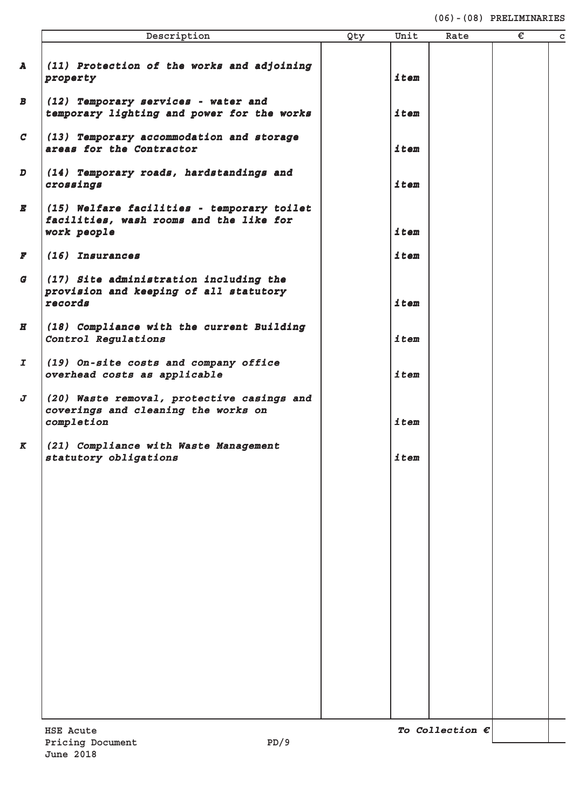#### **(06)-(08) PRELIMINARIES**

|                  | Description                                                                                          | Qty | Unit | Rate                     | € | $\mathbf C$ |
|------------------|------------------------------------------------------------------------------------------------------|-----|------|--------------------------|---|-------------|
| $\mathbf{A}$     | (11) Protection of the works and adjoining<br>property                                               |     | item |                          |   |             |
| $\boldsymbol{B}$ | (12) Temporary services - water and<br>temporary lighting and power for the works                    |     | item |                          |   |             |
| C                | (13) Temporary accommodation and storage<br>areas for the Contractor                                 |     | item |                          |   |             |
| $\boldsymbol{D}$ | (14) Temporary roads, hardstandings and<br>crossings                                                 |     | item |                          |   |             |
| $\bm E$          | (15) Welfare facilities - temporary toilet<br>facilities, wash rooms and the like for<br>work people |     | item |                          |   |             |
| $\boldsymbol{F}$ | (16) Insurances                                                                                      |     | item |                          |   |             |
| $\boldsymbol{G}$ | (17) Site administration including the<br>provision and keeping of all statutory<br>records          |     | item |                          |   |             |
| $\boldsymbol{H}$ | (18) Compliance with the current Building<br>Control Regulations                                     |     | item |                          |   |             |
| I                | (19) On-site costs and company office<br>overhead costs as applicable                                |     | item |                          |   |             |
| J                | (20) Waste removal, protective casings and<br>coverings and cleaning the works on<br>completion      |     | item |                          |   |             |
| $\boldsymbol{K}$ | (21) Compliance with Waste Management<br>statutory obligations                                       |     | item |                          |   |             |
|                  |                                                                                                      |     |      |                          |   |             |
|                  |                                                                                                      |     |      |                          |   |             |
|                  |                                                                                                      |     |      |                          |   |             |
|                  |                                                                                                      |     |      |                          |   |             |
|                  |                                                                                                      |     |      |                          |   |             |
|                  |                                                                                                      |     |      |                          |   |             |
|                  |                                                                                                      |     |      |                          |   |             |
|                  |                                                                                                      |     |      |                          |   |             |
|                  | <b>HSE Acute</b><br>PD/9<br>Pricing Document                                                         |     |      | To Collection $\epsilon$ |   |             |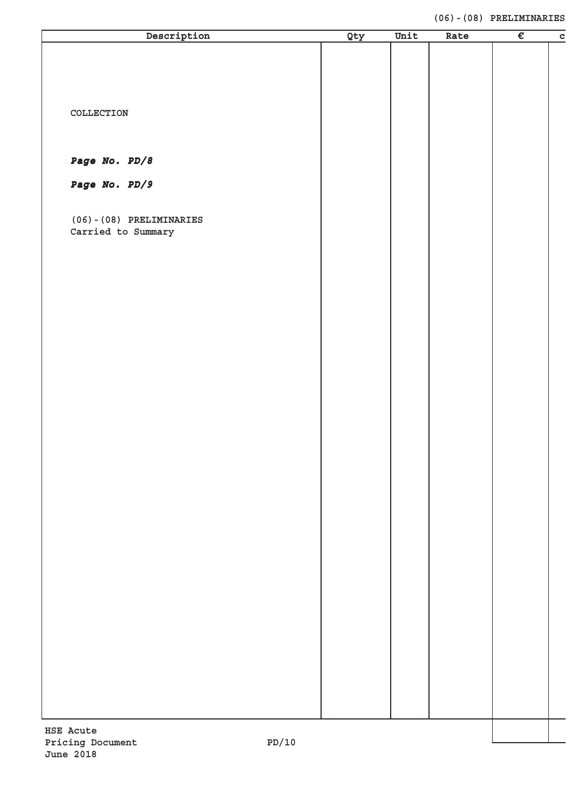#### **(06)-(08) PRELIMINARIES**

| Description                                  | Qty | Unit | Rate | $\overline{\epsilon}$ | $\mathbf c$ |
|----------------------------------------------|-----|------|------|-----------------------|-------------|
|                                              |     |      |      |                       |             |
|                                              |     |      |      |                       |             |
|                                              |     |      |      |                       |             |
|                                              |     |      |      |                       |             |
| COLLECTION                                   |     |      |      |                       |             |
|                                              |     |      |      |                       |             |
| Page No. PD/8                                |     |      |      |                       |             |
|                                              |     |      |      |                       |             |
| Page No. PD/9                                |     |      |      |                       |             |
|                                              |     |      |      |                       |             |
| $(06) - (08)$ PRELIMINARIES                  |     |      |      |                       |             |
| Carried to Summary                           |     |      |      |                       |             |
|                                              |     |      |      |                       |             |
|                                              |     |      |      |                       |             |
|                                              |     |      |      |                       |             |
|                                              |     |      |      |                       |             |
|                                              |     |      |      |                       |             |
|                                              |     |      |      |                       |             |
|                                              |     |      |      |                       |             |
|                                              |     |      |      |                       |             |
|                                              |     |      |      |                       |             |
|                                              |     |      |      |                       |             |
|                                              |     |      |      |                       |             |
|                                              |     |      |      |                       |             |
|                                              |     |      |      |                       |             |
|                                              |     |      |      |                       |             |
|                                              |     |      |      |                       |             |
|                                              |     |      |      |                       |             |
|                                              |     |      |      |                       |             |
|                                              |     |      |      |                       |             |
|                                              |     |      |      |                       |             |
|                                              |     |      |      |                       |             |
|                                              |     |      |      |                       |             |
|                                              |     |      |      |                       |             |
|                                              |     |      |      |                       |             |
|                                              |     |      |      |                       |             |
|                                              |     |      |      |                       |             |
|                                              |     |      |      |                       |             |
|                                              |     |      |      |                       |             |
|                                              |     |      |      |                       |             |
| <b>HSE Acute</b><br>10/ת<br>Pricing Document |     |      |      |                       |             |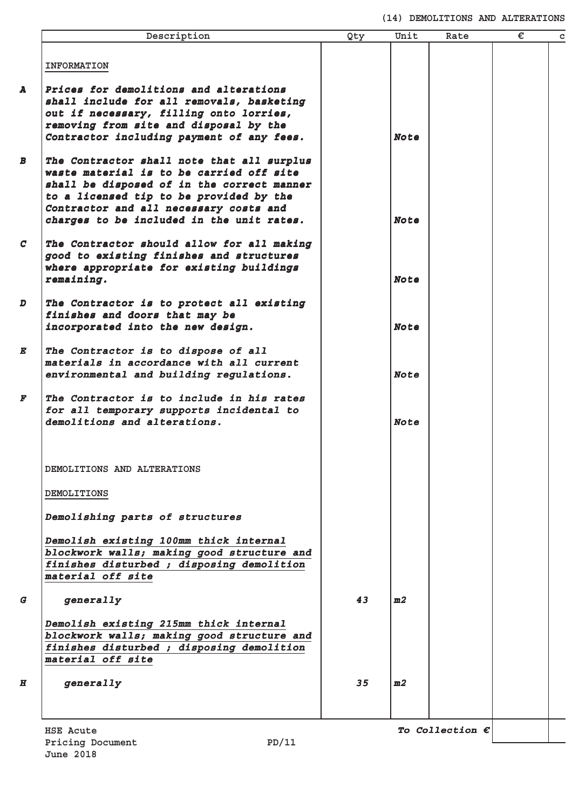**(14) DEMOLITIONS AND ALTERATIONS**

| Description                                                                                                                                                                                                                                                            | Qty | Unit        | Rate | € |
|------------------------------------------------------------------------------------------------------------------------------------------------------------------------------------------------------------------------------------------------------------------------|-----|-------------|------|---|
| <b>INFORMATION</b>                                                                                                                                                                                                                                                     |     |             |      |   |
| Prices for demolitions and alterations<br>shall include for all removals, basketing<br>out if necessary, filling onto lorries,<br>removing from site and disposal by the<br>Contractor including payment of any fees.                                                  |     | <b>Note</b> |      |   |
| The Contractor shall note that all surplus<br>waste material is to be carried off site<br>shall be disposed of in the correct manner<br>to a licensed tip to be provided by the<br>Contractor and all necessary costs and<br>charges to be included in the unit rates. |     | <b>Note</b> |      |   |
| The Contractor should allow for all making<br>good to existing finishes and structures<br>where appropriate for existing buildings<br>remaining.                                                                                                                       |     | <b>Note</b> |      |   |
| The Contractor is to protect all existing<br>finishes and doors that may be<br>incorporated into the new design.                                                                                                                                                       |     | <b>Note</b> |      |   |
| The Contractor is to dispose of all<br>materials in accordance with all current<br>environmental and building regulations.                                                                                                                                             |     | <b>Note</b> |      |   |
| The Contractor is to include in his rates<br>for all temporary supports incidental to<br>demolitions and alterations.                                                                                                                                                  |     | <b>Note</b> |      |   |
| DEMOLITIONS AND ALTERATIONS                                                                                                                                                                                                                                            |     |             |      |   |
| <b>DEMOLITIONS</b>                                                                                                                                                                                                                                                     |     |             |      |   |
| Demolishing parts of structures                                                                                                                                                                                                                                        |     |             |      |   |
| Demolish existing 100mm thick internal<br>blockwork walls; making good structure and<br>finishes disturbed; disposing demolition<br>material off site                                                                                                                  |     |             |      |   |
| generally                                                                                                                                                                                                                                                              | 43  | m2          |      |   |
|                                                                                                                                                                                                                                                                        |     |             |      |   |
| Demolish existing 215mm thick internal<br>blockwork walls; making good structure and<br>finishes disturbed ; disposing demolition<br>material off site                                                                                                                 |     |             |      |   |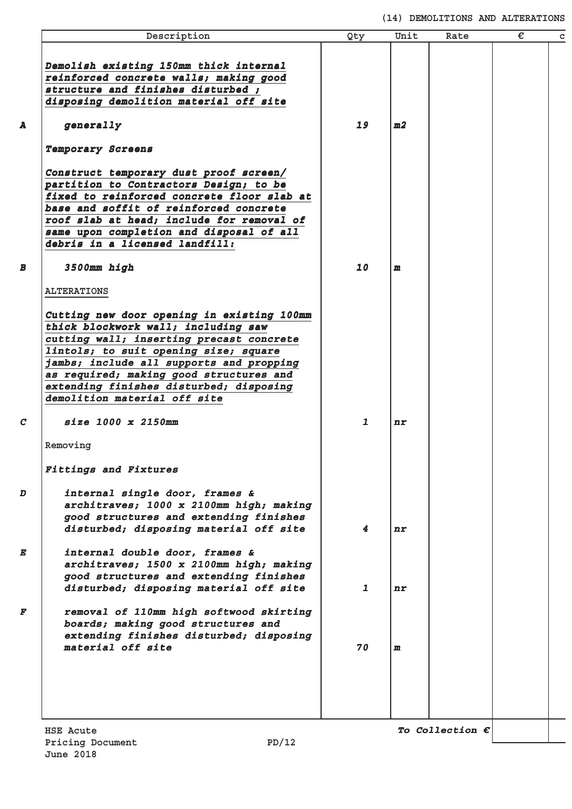**(14) DEMOLITIONS AND ALTERATIONS**

| Description                                                                                                                                                                                                                                                                                                                                                    | Qty                     | Unit         | Rate                     | € | C |
|----------------------------------------------------------------------------------------------------------------------------------------------------------------------------------------------------------------------------------------------------------------------------------------------------------------------------------------------------------------|-------------------------|--------------|--------------------------|---|---|
| Demolish existing 150mm thick internal<br>reinforced concrete walls; making good<br>structure and finishes disturbed;<br>disposing demolition material off site<br>generally<br>Temporary Screens                                                                                                                                                              | 19                      | m2           |                          |   |   |
| Construct temporary dust proof screen/<br>partition to Contractors Design; to be<br>fixed to reinforced concrete floor slab at<br>base and soffit of reinforced concrete<br>roof slab at head; include for removal of<br>same upon completion and disposal of all<br>debris in a licensed landfill:                                                            |                         |              |                          |   |   |
| 3500mm high                                                                                                                                                                                                                                                                                                                                                    | 10                      | $\mathbf{m}$ |                          |   |   |
| <b>ALTERATIONS</b><br>Cutting new door opening in existing 100mm<br>thick blockwork wall; including saw<br>cutting wall; inserting precast concrete<br>lintols; to suit opening size; square<br>jambs; include all supports and propping<br>as required; making good structures and<br>extending finishes disturbed; disposing<br>demolition material off site |                         |              |                          |   |   |
| size 1000 x 2150mm                                                                                                                                                                                                                                                                                                                                             | $\mathbf{1}$            | nr           |                          |   |   |
| Removing<br><b>Fittings and Fixtures</b>                                                                                                                                                                                                                                                                                                                       |                         |              |                          |   |   |
| internal single door, frames &<br>architraves; 1000 x 2100mm high; making<br>good structures and extending finishes<br>disturbed; disposing material off site                                                                                                                                                                                                  | $\overline{\mathbf{4}}$ | n r          |                          |   |   |
| internal double door, frames &<br>architraves; 1500 x 2100mm high; making<br>good structures and extending finishes<br>disturbed; disposing material off site                                                                                                                                                                                                  | $\mathbf{1}$            | n r          |                          |   |   |
| removal of 110mm high softwood skirting<br>boards; making good structures and<br>extending finishes disturbed; disposing<br>material off site                                                                                                                                                                                                                  | 70                      | $\mathbf{m}$ |                          |   |   |
|                                                                                                                                                                                                                                                                                                                                                                |                         |              |                          |   |   |
| HSE Acute<br>PD/12<br>Pricing Document                                                                                                                                                                                                                                                                                                                         |                         |              | To Collection $\epsilon$ |   |   |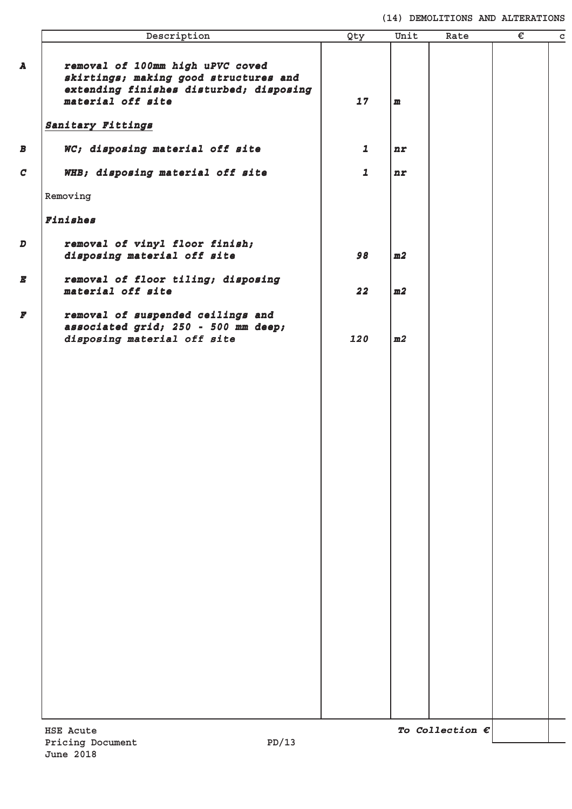#### **(14) DEMOLITIONS AND ALTERATIONS**

|               | Description                                                                                                                               | Qty          | Unit | Rate                     | € | $\mathbf C$ |
|---------------|-------------------------------------------------------------------------------------------------------------------------------------------|--------------|------|--------------------------|---|-------------|
| A             | removal of 100mm high uPVC coved<br>skirtings; making good structures and<br>extending finishes disturbed; disposing<br>material off site | 17           | m    |                          |   |             |
|               | Sanitary Fittings                                                                                                                         |              |      |                          |   |             |
| B             | WC; disposing material off site                                                                                                           | $\mathbf{1}$ | n r  |                          |   |             |
| $\mathcal{C}$ | WHB; disposing material off site                                                                                                          | $\mathbf{1}$ | n r  |                          |   |             |
|               | Removing                                                                                                                                  |              |      |                          |   |             |
|               | Finishes                                                                                                                                  |              |      |                          |   |             |
| D             | removal of vinyl floor finish;<br>disposing material off site                                                                             | 98           | m2   |                          |   |             |
| E             | removal of floor tiling; disposing<br>material off site                                                                                   | 22           | m2   |                          |   |             |
| F             | removal of suspended ceilings and<br>associated grid; 250 - 500 mm deep;<br>disposing material off site                                   | 120          | m2   |                          |   |             |
|               |                                                                                                                                           |              |      |                          |   |             |
|               |                                                                                                                                           |              |      |                          |   |             |
|               |                                                                                                                                           |              |      |                          |   |             |
|               |                                                                                                                                           |              |      |                          |   |             |
|               |                                                                                                                                           |              |      |                          |   |             |
|               |                                                                                                                                           |              |      |                          |   |             |
|               |                                                                                                                                           |              |      |                          |   |             |
|               |                                                                                                                                           |              |      |                          |   |             |
|               |                                                                                                                                           |              |      |                          |   |             |
|               |                                                                                                                                           |              |      |                          |   |             |
|               |                                                                                                                                           |              |      |                          |   |             |
|               |                                                                                                                                           |              |      |                          |   |             |
|               |                                                                                                                                           |              |      |                          |   |             |
|               |                                                                                                                                           |              |      |                          |   |             |
|               |                                                                                                                                           |              |      |                          |   |             |
|               | <b>HSE Acute</b>                                                                                                                          |              |      | To Collection $\epsilon$ |   |             |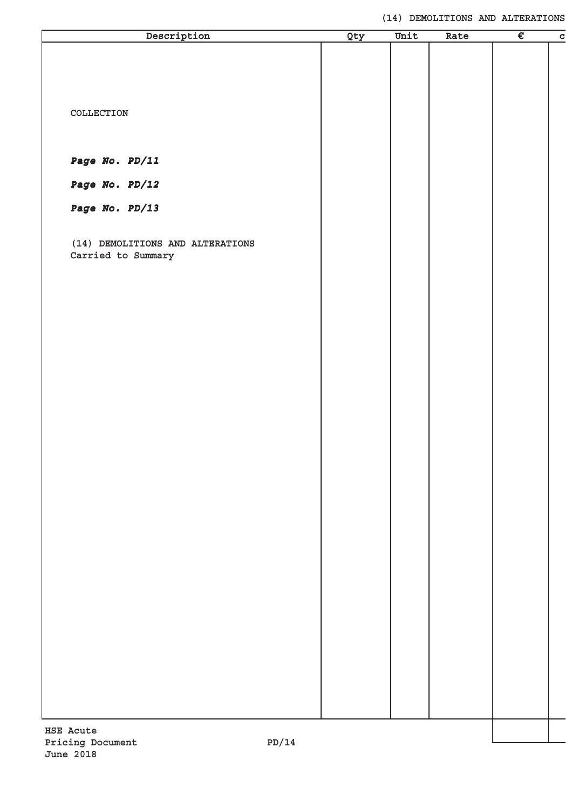| Description                      |     | Unit | Rate | $\overline{\epsilon}$ |             |
|----------------------------------|-----|------|------|-----------------------|-------------|
|                                  | Qty |      |      |                       | $\mathbf c$ |
|                                  |     |      |      |                       |             |
|                                  |     |      |      |                       |             |
|                                  |     |      |      |                       |             |
|                                  |     |      |      |                       |             |
|                                  |     |      |      |                       |             |
| COLLECTION                       |     |      |      |                       |             |
|                                  |     |      |      |                       |             |
|                                  |     |      |      |                       |             |
|                                  |     |      |      |                       |             |
| Page No. PD/11                   |     |      |      |                       |             |
|                                  |     |      |      |                       |             |
| Page No. PD/12                   |     |      |      |                       |             |
|                                  |     |      |      |                       |             |
| Page No. PD/13                   |     |      |      |                       |             |
|                                  |     |      |      |                       |             |
| (14) DEMOLITIONS AND ALTERATIONS |     |      |      |                       |             |
| Carried to Summary               |     |      |      |                       |             |
|                                  |     |      |      |                       |             |
|                                  |     |      |      |                       |             |
|                                  |     |      |      |                       |             |
|                                  |     |      |      |                       |             |
|                                  |     |      |      |                       |             |
|                                  |     |      |      |                       |             |
|                                  |     |      |      |                       |             |
|                                  |     |      |      |                       |             |
|                                  |     |      |      |                       |             |
|                                  |     |      |      |                       |             |
|                                  |     |      |      |                       |             |
|                                  |     |      |      |                       |             |
|                                  |     |      |      |                       |             |
|                                  |     |      |      |                       |             |
|                                  |     |      |      |                       |             |
|                                  |     |      |      |                       |             |
|                                  |     |      |      |                       |             |
|                                  |     |      |      |                       |             |
|                                  |     |      |      |                       |             |
|                                  |     |      |      |                       |             |
|                                  |     |      |      |                       |             |
|                                  |     |      |      |                       |             |
|                                  |     |      |      |                       |             |
|                                  |     |      |      |                       |             |
|                                  |     |      |      |                       |             |
|                                  |     |      |      |                       |             |
|                                  |     |      |      |                       |             |
|                                  |     |      |      |                       |             |
|                                  |     |      |      |                       |             |
|                                  |     |      |      |                       |             |
|                                  |     |      |      |                       |             |
|                                  |     |      |      |                       |             |
|                                  |     |      |      |                       |             |
|                                  |     |      |      |                       |             |
|                                  |     |      |      |                       |             |
|                                  |     |      |      |                       |             |
|                                  |     |      |      |                       |             |
|                                  |     |      |      |                       |             |
|                                  |     |      |      |                       |             |
| HSE Acute                        |     |      |      |                       |             |
| 14/ת<br>Pricing Document         |     |      |      |                       |             |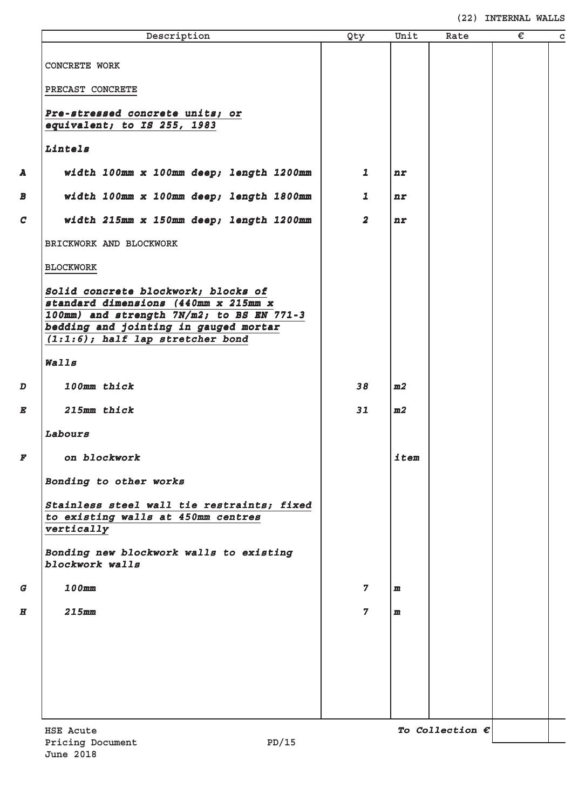|                  | Description                                                                       | Qty            | Unit           | Rate                     | € | $\mathbf c$ |
|------------------|-----------------------------------------------------------------------------------|----------------|----------------|--------------------------|---|-------------|
|                  |                                                                                   |                |                |                          |   |             |
|                  | <b>CONCRETE WORK</b>                                                              |                |                |                          |   |             |
|                  | PRECAST CONCRETE                                                                  |                |                |                          |   |             |
|                  |                                                                                   |                |                |                          |   |             |
|                  | Pre-stressed concrete units; or<br>equivalent; to IS 255, 1983                    |                |                |                          |   |             |
|                  | Lintels                                                                           |                |                |                          |   |             |
|                  |                                                                                   |                |                |                          |   |             |
| A                | width 100mm x 100mm deep; length 1200mm                                           | 1              | n r            |                          |   |             |
| B                | width 100mm x 100mm deep; length 1800mm                                           | $\mathbf{1}$   | n r            |                          |   |             |
| $\mathcal{C}$    | width 215mm x 150mm deep; length 1200mm                                           | $\overline{a}$ | n r            |                          |   |             |
|                  | BRICKWORK AND BLOCKWORK                                                           |                |                |                          |   |             |
|                  | <b>BLOCKWORK</b>                                                                  |                |                |                          |   |             |
|                  | Solid concrete blockwork; blocks of                                               |                |                |                          |   |             |
|                  | standard dimensions (440mm x 215mm x<br>100mm) and strength 7N/m2; to BS EN 771-3 |                |                |                          |   |             |
|                  | bedding and jointing in gauged mortar                                             |                |                |                          |   |             |
|                  | $(1:1:6)$ ; half lap stretcher bond                                               |                |                |                          |   |             |
|                  | Walls                                                                             |                |                |                          |   |             |
| D                | 100mm thick                                                                       | 38             | m <sub>2</sub> |                          |   |             |
| E                | 215mm thick                                                                       | 31             | m <sub>2</sub> |                          |   |             |
|                  | Labours                                                                           |                |                |                          |   |             |
| F                | on blockwork                                                                      |                | item           |                          |   |             |
|                  | Bonding to other works                                                            |                |                |                          |   |             |
|                  | Stainless steel wall tie restraints; fixed                                        |                |                |                          |   |             |
|                  | to existing walls at 450mm centres<br>vertically                                  |                |                |                          |   |             |
|                  |                                                                                   |                |                |                          |   |             |
|                  | Bonding new blockwork walls to existing<br>blockwork walls                        |                |                |                          |   |             |
| G                | 100mm                                                                             | $\overline{7}$ | $\mathbf{m}$   |                          |   |             |
| $\boldsymbol{H}$ | <b>215mm</b>                                                                      | $\overline{7}$ | $\mathbf{m}$   |                          |   |             |
|                  |                                                                                   |                |                |                          |   |             |
|                  |                                                                                   |                |                |                          |   |             |
|                  |                                                                                   |                |                |                          |   |             |
|                  |                                                                                   |                |                |                          |   |             |
|                  |                                                                                   |                |                |                          |   |             |
|                  | <b>HSE Acute</b>                                                                  |                |                | To Collection $\epsilon$ |   |             |
|                  |                                                                                   |                |                |                          |   |             |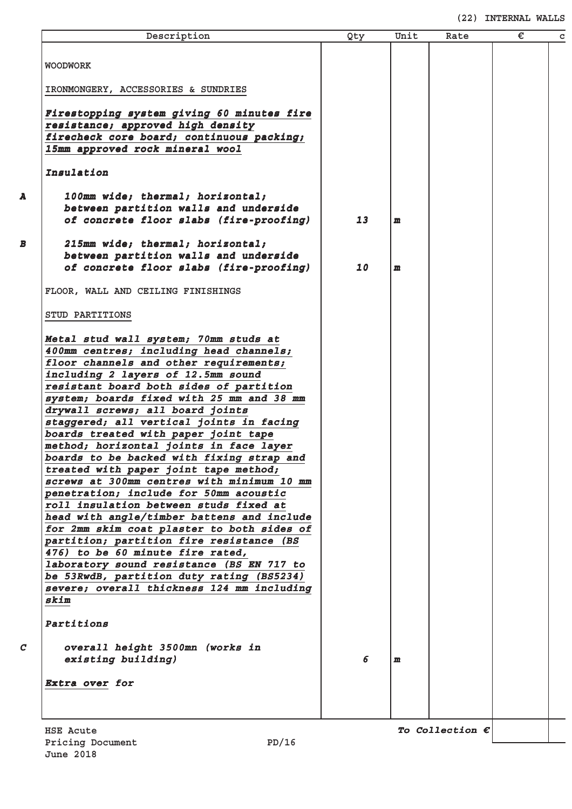| Description                                                                      | Qty | Unit         | Rate                     | € | C |
|----------------------------------------------------------------------------------|-----|--------------|--------------------------|---|---|
| <b>WOODWORK</b>                                                                  |     |              |                          |   |   |
|                                                                                  |     |              |                          |   |   |
| IRONMONGERY, ACCESSORIES & SUNDRIES                                              |     |              |                          |   |   |
| Firestopping system giving 60 minutes fire                                       |     |              |                          |   |   |
| resistance; approved high density                                                |     |              |                          |   |   |
| firecheck core board; continuous packing;                                        |     |              |                          |   |   |
| 15mm approved rock mineral wool                                                  |     |              |                          |   |   |
| Insulation                                                                       |     |              |                          |   |   |
| 100mm wide; thermal; horizontal;                                                 |     |              |                          |   |   |
| between partition walls and underside                                            |     |              |                          |   |   |
| of concrete floor slabs (fire-proofing)                                          | 13  | $\mathbf{m}$ |                          |   |   |
| 215mm wide; thermal; horizontal;                                                 |     |              |                          |   |   |
| between partition walls and underside                                            |     |              |                          |   |   |
| of concrete floor slabs (fire-proofing)                                          | 10  | $\mathbf{m}$ |                          |   |   |
| FLOOR, WALL AND CEILING FINISHINGS                                               |     |              |                          |   |   |
| STUD PARTITIONS                                                                  |     |              |                          |   |   |
|                                                                                  |     |              |                          |   |   |
| Metal stud wall system; 70mm studs at<br>400mm centres; including head channels; |     |              |                          |   |   |
| floor channels and other requirements;                                           |     |              |                          |   |   |
| including 2 layers of 12.5mm sound                                               |     |              |                          |   |   |
| resistant board both sides of partition                                          |     |              |                          |   |   |
| system; boards fixed with 25 mm and 38 mm                                        |     |              |                          |   |   |
| drywall screws; all board joints                                                 |     |              |                          |   |   |
| staggered; all vertical joints in facing                                         |     |              |                          |   |   |
| boards treated with paper joint tape                                             |     |              |                          |   |   |
| method; horizontal joints in face layer                                          |     |              |                          |   |   |
| boards to be backed with fixing strap and                                        |     |              |                          |   |   |
| treated with paper joint tape method;                                            |     |              |                          |   |   |
| screws at 300mm centres with minimum 10 mm                                       |     |              |                          |   |   |
| penetration; include for 50mm acoustic<br>roll insulation between studs fixed at |     |              |                          |   |   |
| head with angle/timber battens and include                                       |     |              |                          |   |   |
| for 2mm skim coat plaster to both sides of                                       |     |              |                          |   |   |
| partition; partition fire resistance (BS                                         |     |              |                          |   |   |
| 476) to be 60 minute fire rated,                                                 |     |              |                          |   |   |
| laboratory sound resistance (BS EN 717 to                                        |     |              |                          |   |   |
| be 53RwdB, partition duty rating (BS5234)                                        |     |              |                          |   |   |
| severe; overall thickness 124 mm including                                       |     |              |                          |   |   |
| skim                                                                             |     |              |                          |   |   |
| Partitions                                                                       |     |              |                          |   |   |
| overall height 3500mn (works in                                                  |     |              |                          |   |   |
| existing building)                                                               | 6   | m            |                          |   |   |
| Extra over for                                                                   |     |              |                          |   |   |
|                                                                                  |     |              |                          |   |   |
|                                                                                  |     |              |                          |   |   |
| <b>HSE Acute</b><br>PD/16<br>Pricing Document                                    |     |              | To Collection $\epsilon$ |   |   |
|                                                                                  |     |              |                          |   |   |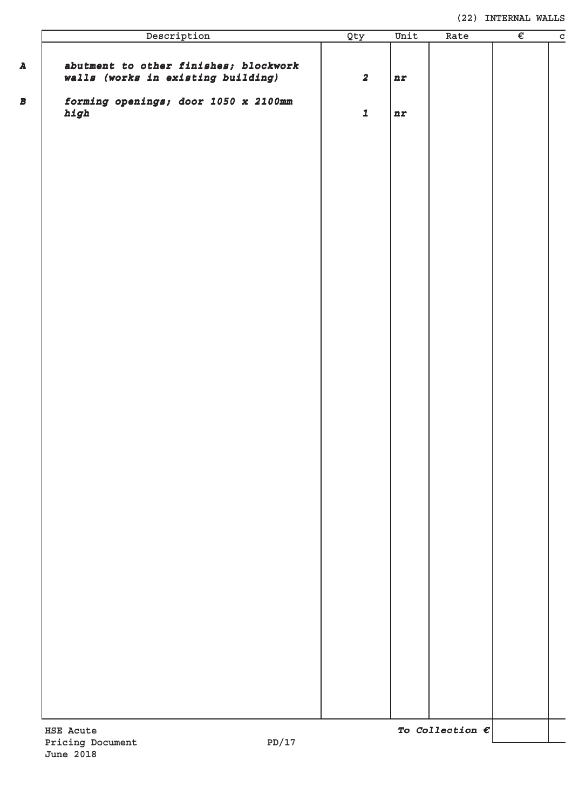| Description                                                                 | Qty                     | Unit | Rate                     | € | $\overline{c}$ |
|-----------------------------------------------------------------------------|-------------------------|------|--------------------------|---|----------------|
| abutment to other finishes; blockwork<br>walls (works in existing building) | $\overline{\mathbf{2}}$ | nr   |                          |   |                |
| forming openings; door 1050 x 2100mm<br>high                                | $\mathbf 1$             | nr   |                          |   |                |
|                                                                             |                         |      |                          |   |                |
|                                                                             |                         |      |                          |   |                |
|                                                                             |                         |      |                          |   |                |
|                                                                             |                         |      |                          |   |                |
|                                                                             |                         |      |                          |   |                |
|                                                                             |                         |      |                          |   |                |
|                                                                             |                         |      |                          |   |                |
|                                                                             |                         |      |                          |   |                |
|                                                                             |                         |      |                          |   |                |
|                                                                             |                         |      |                          |   |                |
|                                                                             |                         |      |                          |   |                |
|                                                                             |                         |      |                          |   |                |
|                                                                             |                         |      |                          |   |                |
|                                                                             |                         |      |                          |   |                |
|                                                                             |                         |      |                          |   |                |
|                                                                             |                         |      |                          |   |                |
|                                                                             |                         |      |                          |   |                |
|                                                                             |                         |      |                          |   |                |
|                                                                             |                         |      |                          |   |                |
| HSE Acute<br>PD/17<br>Pricing Document                                      |                         |      | To Collection $\epsilon$ |   |                |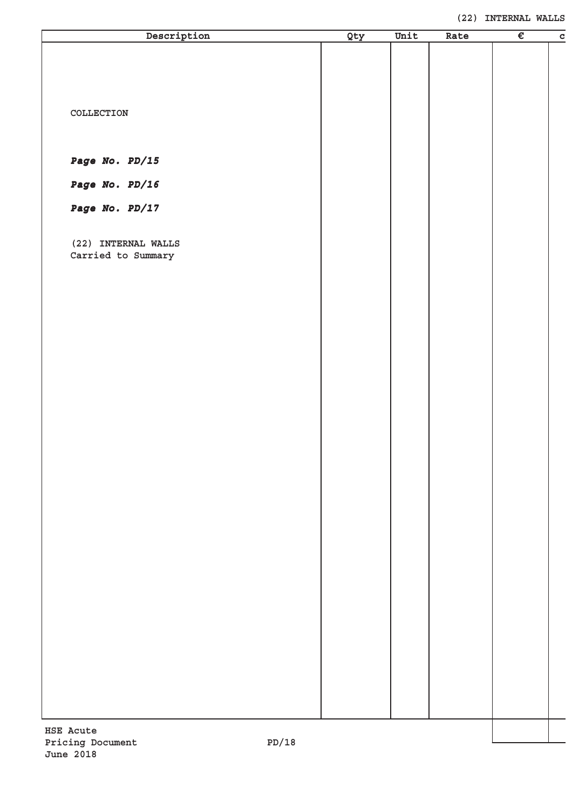| Description               | Qty | Unit | Rate | $\overline{\epsilon}$ | $\overline{c}$ |
|---------------------------|-----|------|------|-----------------------|----------------|
|                           |     |      |      |                       |                |
|                           |     |      |      |                       |                |
|                           |     |      |      |                       |                |
|                           |     |      |      |                       |                |
| COLLECTION                |     |      |      |                       |                |
|                           |     |      |      |                       |                |
| Page No. PD/15            |     |      |      |                       |                |
|                           |     |      |      |                       |                |
| Page No. PD/16            |     |      |      |                       |                |
| Page No. PD/17            |     |      |      |                       |                |
|                           |     |      |      |                       |                |
| (22) INTERNAL WALLS       |     |      |      |                       |                |
| Carried to Summary        |     |      |      |                       |                |
|                           |     |      |      |                       |                |
|                           |     |      |      |                       |                |
|                           |     |      |      |                       |                |
|                           |     |      |      |                       |                |
|                           |     |      |      |                       |                |
|                           |     |      |      |                       |                |
|                           |     |      |      |                       |                |
|                           |     |      |      |                       |                |
|                           |     |      |      |                       |                |
|                           |     |      |      |                       |                |
|                           |     |      |      |                       |                |
|                           |     |      |      |                       |                |
|                           |     |      |      |                       |                |
|                           |     |      |      |                       |                |
|                           |     |      |      |                       |                |
|                           |     |      |      |                       |                |
|                           |     |      |      |                       |                |
|                           |     |      |      |                       |                |
|                           |     |      |      |                       |                |
|                           |     |      |      |                       |                |
|                           |     |      |      |                       |                |
|                           |     |      |      |                       |                |
|                           |     |      |      |                       |                |
|                           |     |      |      |                       |                |
|                           |     |      |      |                       |                |
|                           |     |      |      |                       |                |
| <b>HSE Acute</b>          |     |      |      |                       |                |
| PD/18<br>Pricing Document |     |      |      |                       |                |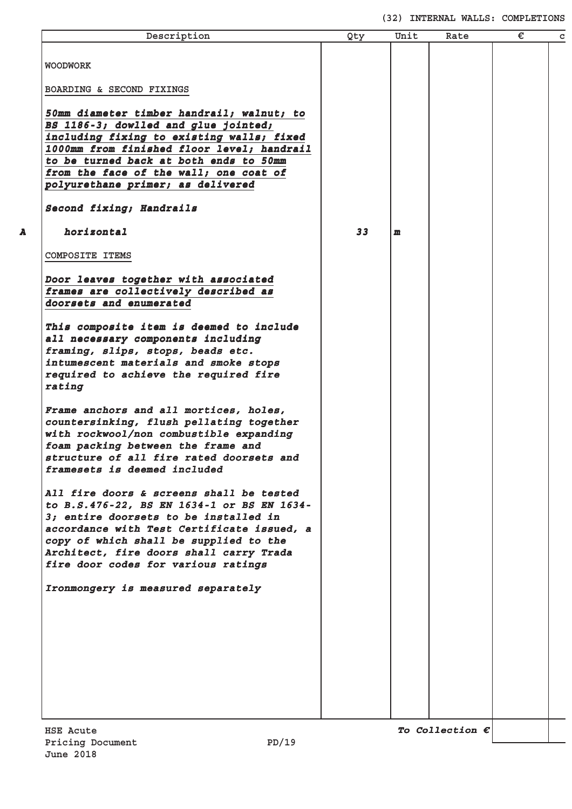#### **(32) INTERNAL WALLS: COMPLETIONS**

| Description                                                                                                                                                                                                                                                                                               | Qty | Unit         | Rate | € | $\mathbf C$ |
|-----------------------------------------------------------------------------------------------------------------------------------------------------------------------------------------------------------------------------------------------------------------------------------------------------------|-----|--------------|------|---|-------------|
| <b>WOODWORK</b>                                                                                                                                                                                                                                                                                           |     |              |      |   |             |
| BOARDING & SECOND FIXINGS                                                                                                                                                                                                                                                                                 |     |              |      |   |             |
| 50mm diameter timber handrail; walnut; to<br>BS 1186-3; dowlled and glue jointed;<br>including fixing to existing walls; fixed<br>1000mm from finished floor level; handrail                                                                                                                              |     |              |      |   |             |
| to be turned back at both ends to 50mm<br>from the face of the wall; one coat of<br>polyurethane primer; as delivered                                                                                                                                                                                     |     |              |      |   |             |
| Second fixing; Handrails                                                                                                                                                                                                                                                                                  |     |              |      |   |             |
| horizontal                                                                                                                                                                                                                                                                                                | 33  | $\mathbf{m}$ |      |   |             |
| <b>COMPOSITE ITEMS</b>                                                                                                                                                                                                                                                                                    |     |              |      |   |             |
| Door leaves together with associated<br>frames are collectively described as<br>doorsets and enumerated                                                                                                                                                                                                   |     |              |      |   |             |
| This composite item is deemed to include<br>all necessary components including<br>framing, slips, stops, beads etc.<br>intumescent materials and smoke stops<br>required to achieve the required fire<br>rating                                                                                           |     |              |      |   |             |
| Frame anchors and all mortices, holes,<br>countersinking, flush pellating together<br>with rockwool/non combustible expanding<br>foam packing between the frame and<br>structure of all fire rated doorsets and<br>framesets is deemed included                                                           |     |              |      |   |             |
| All fire doors & screens shall be tested<br>to B.S.476-22, BS EN 1634-1 or BS EN 1634-<br>3; entire doorsets to be installed in<br>accordance with Test Certificate issued, a<br>copy of which shall be supplied to the<br>Architect, fire doors shall carry Trada<br>fire door codes for various ratings |     |              |      |   |             |
| Ironmongery is measured separately                                                                                                                                                                                                                                                                        |     |              |      |   |             |
|                                                                                                                                                                                                                                                                                                           |     |              |      |   |             |
|                                                                                                                                                                                                                                                                                                           |     |              |      |   |             |
|                                                                                                                                                                                                                                                                                                           |     |              |      |   |             |
|                                                                                                                                                                                                                                                                                                           |     |              |      |   |             |
|                                                                                                                                                                                                                                                                                                           |     |              |      |   |             |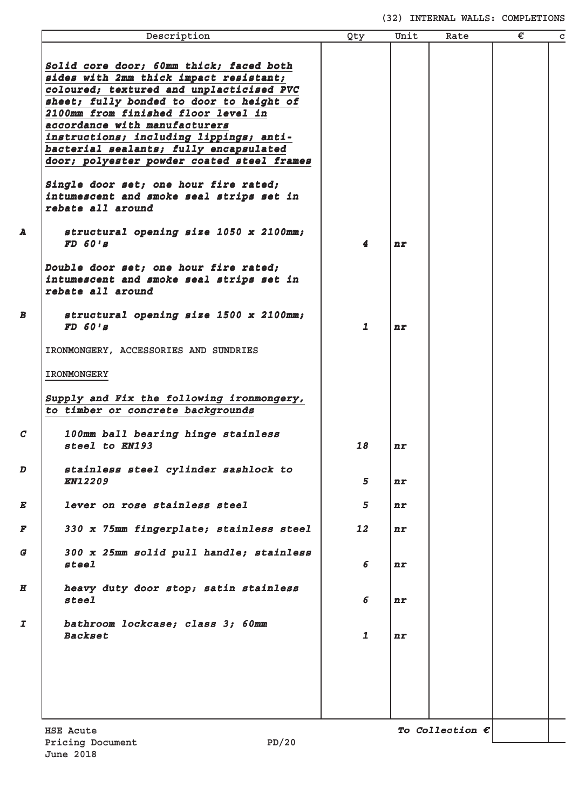#### **(32) INTERNAL WALLS: COMPLETIONS**

|                  | Description                                | Qty          | Unit | Rate                     | € | $\mathbf c$ |
|------------------|--------------------------------------------|--------------|------|--------------------------|---|-------------|
|                  |                                            |              |      |                          |   |             |
|                  | Solid core door; 60mm thick; faced both    |              |      |                          |   |             |
|                  | sides with 2mm thick impact resistant;     |              |      |                          |   |             |
|                  | coloured; textured and unplacticised PVC   |              |      |                          |   |             |
|                  | sheet; fully bonded to door to height of   |              |      |                          |   |             |
|                  | 2100mm from finished floor level in        |              |      |                          |   |             |
|                  |                                            |              |      |                          |   |             |
|                  | accordance with manufacturers              |              |      |                          |   |             |
|                  | instructions; including lippings; anti-    |              |      |                          |   |             |
|                  | bacterial sealants; fully encapsulated     |              |      |                          |   |             |
|                  | door; polyester powder coated steel frames |              |      |                          |   |             |
|                  | Single door set; one hour fire rated;      |              |      |                          |   |             |
|                  | intumescent and smoke seal strips set in   |              |      |                          |   |             |
|                  | rebate all around                          |              |      |                          |   |             |
|                  |                                            |              |      |                          |   |             |
| A                | structural opening size 1050 x 2100mm;     |              |      |                          |   |             |
|                  | FD 601s                                    | 4            | n r  |                          |   |             |
|                  |                                            |              |      |                          |   |             |
|                  | Double door set; one hour fire rated;      |              |      |                          |   |             |
|                  | intumescent and smoke seal strips set in   |              |      |                          |   |             |
|                  | rebate all around                          |              |      |                          |   |             |
|                  |                                            |              |      |                          |   |             |
| B                | structural opening size 1500 x 2100mm;     |              |      |                          |   |             |
|                  | FD 601s                                    | $\mathbf{1}$ | nr   |                          |   |             |
|                  |                                            |              |      |                          |   |             |
|                  | IRONMONGERY, ACCESSORIES AND SUNDRIES      |              |      |                          |   |             |
|                  | <b>IRONMONGERY</b>                         |              |      |                          |   |             |
|                  |                                            |              |      |                          |   |             |
|                  | Supply and Fix the following ironmongery,  |              |      |                          |   |             |
|                  | to timber or concrete backgrounds          |              |      |                          |   |             |
|                  |                                            |              |      |                          |   |             |
| $\boldsymbol{c}$ | 100mm ball bearing hinge stainless         |              |      |                          |   |             |
|                  | steel to EN193                             | 18           | nr   |                          |   |             |
|                  |                                            |              |      |                          |   |             |
| D                | stainless steel cylinder sashlock to       |              |      |                          |   |             |
|                  | <b>EN12209</b>                             | 5            | n    |                          |   |             |
|                  |                                            |              |      |                          |   |             |
| E                | lever on rose stainless steel              | 5            | n r  |                          |   |             |
|                  |                                            |              |      |                          |   |             |
| F                | 330 x 75mm fingerplate; stainless steel    | 12           | n r  |                          |   |             |
|                  |                                            |              |      |                          |   |             |
| G                | 300 x 25mm solid pull handle; stainless    |              |      |                          |   |             |
|                  | steel                                      | 6            | n r  |                          |   |             |
|                  |                                            |              |      |                          |   |             |
| $\boldsymbol{H}$ | heavy duty door stop; satin stainless      |              |      |                          |   |             |
|                  | steel                                      | 6            | n r  |                          |   |             |
|                  |                                            |              |      |                          |   |             |
| I                | bathroom lockcase; class 3; 60mm           |              |      |                          |   |             |
|                  | <b>Backset</b>                             | $\mathbf{1}$ |      |                          |   |             |
|                  |                                            |              | nr   |                          |   |             |
|                  |                                            |              |      |                          |   |             |
|                  |                                            |              |      |                          |   |             |
|                  |                                            |              |      |                          |   |             |
|                  |                                            |              |      |                          |   |             |
|                  |                                            |              |      |                          |   |             |
|                  |                                            |              |      |                          |   |             |
|                  | <b>HSE Acute</b>                           |              |      | To Collection $\epsilon$ |   |             |
|                  |                                            |              |      |                          |   |             |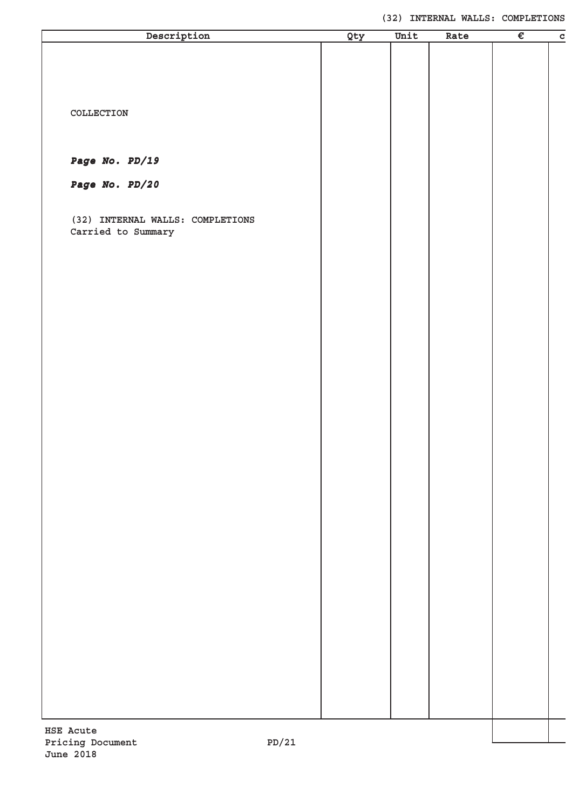| Description                                   | Qty | Unit | Rate | $\overline{\epsilon}$ | $\mathbf c$ |
|-----------------------------------------------|-----|------|------|-----------------------|-------------|
|                                               |     |      |      |                       |             |
|                                               |     |      |      |                       |             |
|                                               |     |      |      |                       |             |
|                                               |     |      |      |                       |             |
| COLLECTION                                    |     |      |      |                       |             |
|                                               |     |      |      |                       |             |
|                                               |     |      |      |                       |             |
|                                               |     |      |      |                       |             |
| Page No. PD/19                                |     |      |      |                       |             |
| Page No. PD/20                                |     |      |      |                       |             |
|                                               |     |      |      |                       |             |
| (32) INTERNAL WALLS: COMPLETIONS              |     |      |      |                       |             |
| Carried to Summary                            |     |      |      |                       |             |
|                                               |     |      |      |                       |             |
|                                               |     |      |      |                       |             |
|                                               |     |      |      |                       |             |
|                                               |     |      |      |                       |             |
|                                               |     |      |      |                       |             |
|                                               |     |      |      |                       |             |
|                                               |     |      |      |                       |             |
|                                               |     |      |      |                       |             |
|                                               |     |      |      |                       |             |
|                                               |     |      |      |                       |             |
|                                               |     |      |      |                       |             |
|                                               |     |      |      |                       |             |
|                                               |     |      |      |                       |             |
|                                               |     |      |      |                       |             |
|                                               |     |      |      |                       |             |
|                                               |     |      |      |                       |             |
|                                               |     |      |      |                       |             |
|                                               |     |      |      |                       |             |
|                                               |     |      |      |                       |             |
|                                               |     |      |      |                       |             |
|                                               |     |      |      |                       |             |
|                                               |     |      |      |                       |             |
|                                               |     |      |      |                       |             |
|                                               |     |      |      |                       |             |
|                                               |     |      |      |                       |             |
|                                               |     |      |      |                       |             |
|                                               |     |      |      |                       |             |
|                                               |     |      |      |                       |             |
|                                               |     |      |      |                       |             |
|                                               |     |      |      |                       |             |
|                                               |     |      |      |                       |             |
|                                               |     |      |      |                       |             |
|                                               |     |      |      |                       |             |
| <b>HSE Acute</b><br>12/תפ<br>Pricing Document |     |      |      |                       |             |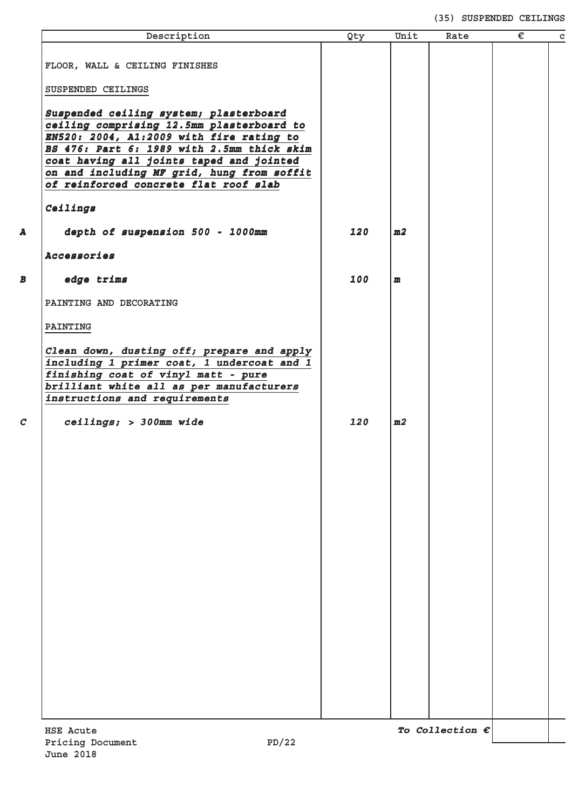#### **(35) SUSPENDED CEILINGS**

| Description                                                                           | Qty | Unit           | Rate                     | € |
|---------------------------------------------------------------------------------------|-----|----------------|--------------------------|---|
|                                                                                       |     |                |                          |   |
| FLOOR, WALL & CEILING FINISHES                                                        |     |                |                          |   |
| SUSPENDED CEILINGS                                                                    |     |                |                          |   |
|                                                                                       |     |                |                          |   |
| Suspended ceiling system; plasterboard                                                |     |                |                          |   |
| ceiling comprising 12.5mm plasterboard to<br>EN520: 2004, A1:2009 with fire rating to |     |                |                          |   |
| BS 476: Part 6: 1989 with 2.5mm thick skim                                            |     |                |                          |   |
| coat having all joints taped and jointed                                              |     |                |                          |   |
| on and including MF grid, hung from soffit                                            |     |                |                          |   |
| of reinforced concrete flat roof slab                                                 |     |                |                          |   |
| Ceilings                                                                              |     |                |                          |   |
| depth of suspension 500 - 1000mm                                                      | 120 | m2             |                          |   |
| Accessories                                                                           |     |                |                          |   |
| edge trims                                                                            | 100 | $\mathbf{m}$   |                          |   |
| PAINTING AND DECORATING                                                               |     |                |                          |   |
| PAINTING                                                                              |     |                |                          |   |
| Clean down, dusting off; prepare and apply                                            |     |                |                          |   |
| including 1 primer coat, 1 undercoat and 1                                            |     |                |                          |   |
| finishing coat of vinyl matt - pure                                                   |     |                |                          |   |
| brilliant white all as per manufacturers<br>instructions and requirements             |     |                |                          |   |
|                                                                                       |     |                |                          |   |
| ceilings; > 300mm wide                                                                | 120 | m <sub>2</sub> |                          |   |
|                                                                                       |     |                |                          |   |
|                                                                                       |     |                |                          |   |
|                                                                                       |     |                |                          |   |
|                                                                                       |     |                |                          |   |
|                                                                                       |     |                |                          |   |
|                                                                                       |     |                |                          |   |
|                                                                                       |     |                |                          |   |
|                                                                                       |     |                |                          |   |
|                                                                                       |     |                |                          |   |
|                                                                                       |     |                |                          |   |
|                                                                                       |     |                |                          |   |
|                                                                                       |     |                |                          |   |
|                                                                                       |     |                |                          |   |
|                                                                                       |     |                |                          |   |
|                                                                                       |     |                |                          |   |
|                                                                                       |     |                |                          |   |
|                                                                                       |     |                |                          |   |
|                                                                                       |     |                |                          |   |
|                                                                                       |     |                |                          |   |
|                                                                                       |     |                |                          |   |
|                                                                                       |     |                |                          |   |
|                                                                                       |     |                |                          |   |
| <b>HSE Acute</b>                                                                      |     |                | To Collection $\epsilon$ |   |
| PD/22<br>Pricing Document                                                             |     |                |                          |   |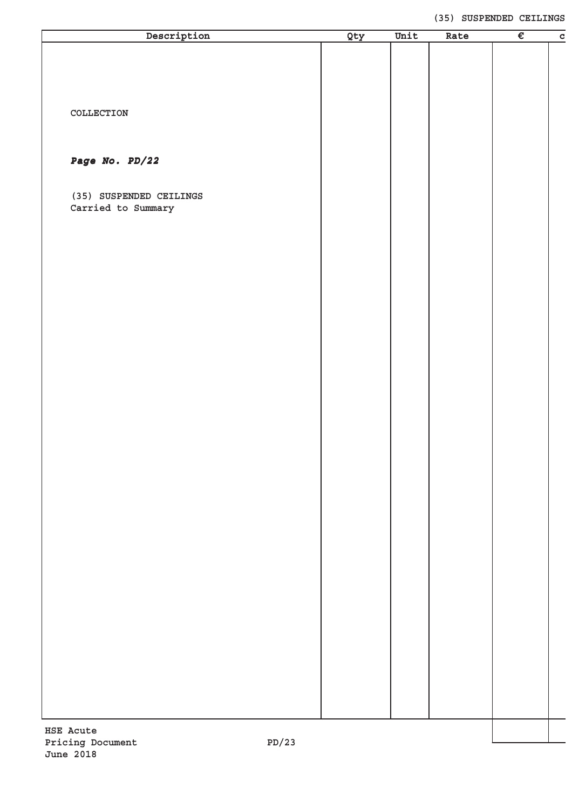#### **(35) SUSPENDED CEILINGS**

| Description               | Qty | Unit | Rate | $\overline{\epsilon}$ | $\overline{c}$ |
|---------------------------|-----|------|------|-----------------------|----------------|
|                           |     |      |      |                       |                |
|                           |     |      |      |                       |                |
|                           |     |      |      |                       |                |
|                           |     |      |      |                       |                |
| COLLECTION                |     |      |      |                       |                |
|                           |     |      |      |                       |                |
|                           |     |      |      |                       |                |
| Page No. PD/22            |     |      |      |                       |                |
|                           |     |      |      |                       |                |
|                           |     |      |      |                       |                |
| (35) SUSPENDED CEILINGS   |     |      |      |                       |                |
| Carried to Summary        |     |      |      |                       |                |
|                           |     |      |      |                       |                |
|                           |     |      |      |                       |                |
|                           |     |      |      |                       |                |
|                           |     |      |      |                       |                |
|                           |     |      |      |                       |                |
|                           |     |      |      |                       |                |
|                           |     |      |      |                       |                |
|                           |     |      |      |                       |                |
|                           |     |      |      |                       |                |
|                           |     |      |      |                       |                |
|                           |     |      |      |                       |                |
|                           |     |      |      |                       |                |
|                           |     |      |      |                       |                |
|                           |     |      |      |                       |                |
|                           |     |      |      |                       |                |
|                           |     |      |      |                       |                |
|                           |     |      |      |                       |                |
|                           |     |      |      |                       |                |
|                           |     |      |      |                       |                |
|                           |     |      |      |                       |                |
|                           |     |      |      |                       |                |
|                           |     |      |      |                       |                |
|                           |     |      |      |                       |                |
|                           |     |      |      |                       |                |
|                           |     |      |      |                       |                |
|                           |     |      |      |                       |                |
|                           |     |      |      |                       |                |
|                           |     |      |      |                       |                |
|                           |     |      |      |                       |                |
|                           |     |      |      |                       |                |
|                           |     |      |      |                       |                |
|                           |     |      |      |                       |                |
|                           |     |      |      |                       |                |
|                           |     |      |      |                       |                |
| HSE Acute                 |     |      |      |                       |                |
| Pricing Document<br>PD/23 |     |      |      |                       |                |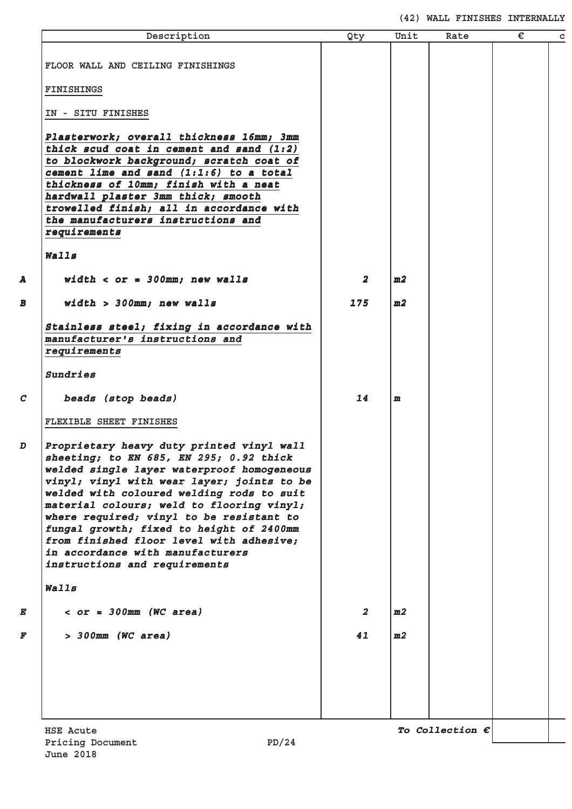# **(42) WALL FINISHES INTERNALLY**

| Description                                                                                                                                                                                                                                                                                                                                                                                                                                                                         | Qty                     | Unit           | Rate                     | € |
|-------------------------------------------------------------------------------------------------------------------------------------------------------------------------------------------------------------------------------------------------------------------------------------------------------------------------------------------------------------------------------------------------------------------------------------------------------------------------------------|-------------------------|----------------|--------------------------|---|
| FLOOR WALL AND CEILING FINISHINGS                                                                                                                                                                                                                                                                                                                                                                                                                                                   |                         |                |                          |   |
| FINISHINGS                                                                                                                                                                                                                                                                                                                                                                                                                                                                          |                         |                |                          |   |
| IN - SITU FINISHES                                                                                                                                                                                                                                                                                                                                                                                                                                                                  |                         |                |                          |   |
| Plasterwork; overall thickness 16mm; 3mm<br>thick scud coat in cement and sand $(1:2)$<br>to blockwork background; scratch coat of<br>cement lime and sand (1:1:6) to a total<br>thickness of 10mm; finish with a neat<br>hardwall plaster 3mm thick; smooth<br>trowelled finish; all in accordance with<br>the manufacturers instructions and<br>requirements                                                                                                                      |                         |                |                          |   |
| Walls                                                                                                                                                                                                                                                                                                                                                                                                                                                                               |                         |                |                          |   |
| width $<$ or = 300mm; new walls                                                                                                                                                                                                                                                                                                                                                                                                                                                     | $\overline{\mathbf{2}}$ | m2             |                          |   |
| width > 300mm; new walls                                                                                                                                                                                                                                                                                                                                                                                                                                                            | 175                     | m2             |                          |   |
| Stainless steel; fixing in accordance with<br>manufacturer's instructions and<br>requirements<br>Sundries                                                                                                                                                                                                                                                                                                                                                                           |                         |                |                          |   |
| beads (stop beads)                                                                                                                                                                                                                                                                                                                                                                                                                                                                  | 14                      | $\mathbf{m}$   |                          |   |
| FLEXIBLE SHEET FINISHES                                                                                                                                                                                                                                                                                                                                                                                                                                                             |                         |                |                          |   |
| Proprietary heavy duty printed vinyl wall<br>sheeting; to EN 685, EN 295; 0.92 thick<br>welded single layer waterproof homogeneous<br>vinyl; vinyl with wear layer; joints to be<br>welded with coloured welding rods to suit<br>material colours; weld to flooring vinyl;<br>where required; vinyl to be resistant to<br>fungal growth; fixed to height of 2400mm<br>from finished floor level with adhesive;<br>in accordance with manufacturers<br>instructions and requirements |                         |                |                          |   |
| Walls                                                                                                                                                                                                                                                                                                                                                                                                                                                                               |                         |                |                          |   |
| $<$ or = 300mm (WC area)                                                                                                                                                                                                                                                                                                                                                                                                                                                            | $\overline{2}$          | m2             |                          |   |
| > 300mm (WC area)                                                                                                                                                                                                                                                                                                                                                                                                                                                                   | 41                      | m <sub>2</sub> |                          |   |
|                                                                                                                                                                                                                                                                                                                                                                                                                                                                                     |                         |                |                          |   |
| <b>HSE Acute</b>                                                                                                                                                                                                                                                                                                                                                                                                                                                                    |                         |                | To Collection $\epsilon$ |   |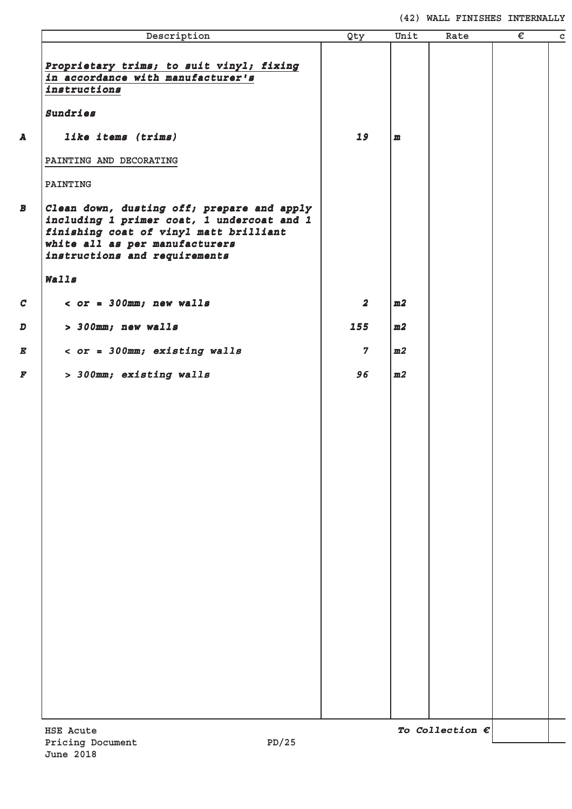**(42) WALL FINISHES INTERNALLY**

| Description                                                                                                                                                                                               | Qty                     | Unit         | Rate | $\overline{\epsilon}$ |
|-----------------------------------------------------------------------------------------------------------------------------------------------------------------------------------------------------------|-------------------------|--------------|------|-----------------------|
| Proprietary trims; to suit vinyl; fixing<br>in accordance with manufacturer's<br>instructions                                                                                                             |                         |              |      |                       |
| Sundries                                                                                                                                                                                                  |                         |              |      |                       |
| like items (trims)                                                                                                                                                                                        | 19                      | $\mathbf{m}$ |      |                       |
| PAINTING AND DECORATING                                                                                                                                                                                   |                         |              |      |                       |
| PAINTING                                                                                                                                                                                                  |                         |              |      |                       |
| $ $ Clean down, dusting off; prepare and apply<br>including 1 primer coat, 1 undercoat and 1<br>finishing coat of vinyl matt brilliant<br>white all as per manufacturers<br>instructions and requirements |                         |              |      |                       |
| Walls                                                                                                                                                                                                     |                         |              |      |                       |
| $<$ or = 300mm; new walls                                                                                                                                                                                 | $\overline{\mathbf{2}}$ | m2           |      |                       |
| > 300mm; new walls                                                                                                                                                                                        | 155                     | m2           |      |                       |
| $<$ or = 300mm; existing walls                                                                                                                                                                            | $\overline{7}$          | m2           |      |                       |
| > 300mm; existing walls                                                                                                                                                                                   | 96                      | m2           |      |                       |
|                                                                                                                                                                                                           |                         |              |      |                       |
|                                                                                                                                                                                                           |                         |              |      |                       |
|                                                                                                                                                                                                           |                         |              |      |                       |
|                                                                                                                                                                                                           |                         |              |      |                       |
|                                                                                                                                                                                                           |                         |              |      |                       |
|                                                                                                                                                                                                           |                         |              |      |                       |
|                                                                                                                                                                                                           |                         |              |      |                       |
|                                                                                                                                                                                                           |                         |              |      |                       |
|                                                                                                                                                                                                           |                         |              |      |                       |
|                                                                                                                                                                                                           |                         |              |      |                       |
|                                                                                                                                                                                                           |                         |              |      |                       |
|                                                                                                                                                                                                           |                         |              |      |                       |
|                                                                                                                                                                                                           |                         |              |      |                       |
|                                                                                                                                                                                                           |                         |              |      |                       |
|                                                                                                                                                                                                           |                         |              |      |                       |
|                                                                                                                                                                                                           |                         |              |      |                       |
|                                                                                                                                                                                                           |                         |              |      |                       |
|                                                                                                                                                                                                           |                         |              |      |                       |
|                                                                                                                                                                                                           |                         |              |      |                       |
|                                                                                                                                                                                                           |                         |              |      |                       |
|                                                                                                                                                                                                           |                         |              |      |                       |
|                                                                                                                                                                                                           |                         |              |      |                       |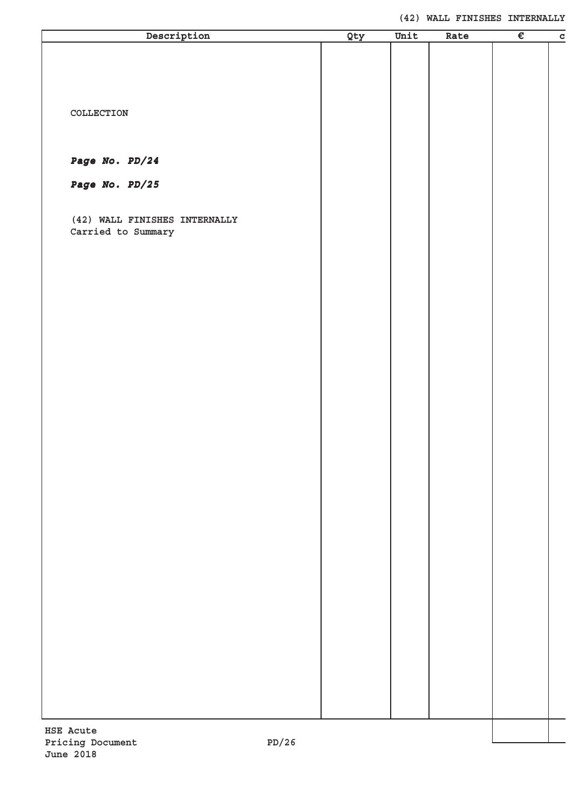#### **(42) WALL FINISHES INTERNALLY**

| Description                             | Qty | Unit | Rate | $\overline{\epsilon}$ | $\overline{c}$ |
|-----------------------------------------|-----|------|------|-----------------------|----------------|
|                                         |     |      |      |                       |                |
|                                         |     |      |      |                       |                |
|                                         |     |      |      |                       |                |
|                                         |     |      |      |                       |                |
| COLLECTION                              |     |      |      |                       |                |
|                                         |     |      |      |                       |                |
|                                         |     |      |      |                       |                |
| Page No. PD/24                          |     |      |      |                       |                |
| Page No. PD/25                          |     |      |      |                       |                |
|                                         |     |      |      |                       |                |
| (42) WALL FINISHES INTERNALLY           |     |      |      |                       |                |
| Carried to Summary                      |     |      |      |                       |                |
|                                         |     |      |      |                       |                |
|                                         |     |      |      |                       |                |
|                                         |     |      |      |                       |                |
|                                         |     |      |      |                       |                |
|                                         |     |      |      |                       |                |
|                                         |     |      |      |                       |                |
|                                         |     |      |      |                       |                |
|                                         |     |      |      |                       |                |
|                                         |     |      |      |                       |                |
|                                         |     |      |      |                       |                |
|                                         |     |      |      |                       |                |
|                                         |     |      |      |                       |                |
|                                         |     |      |      |                       |                |
|                                         |     |      |      |                       |                |
|                                         |     |      |      |                       |                |
|                                         |     |      |      |                       |                |
|                                         |     |      |      |                       |                |
|                                         |     |      |      |                       |                |
|                                         |     |      |      |                       |                |
|                                         |     |      |      |                       |                |
|                                         |     |      |      |                       |                |
|                                         |     |      |      |                       |                |
|                                         |     |      |      |                       |                |
|                                         |     |      |      |                       |                |
|                                         |     |      |      |                       |                |
|                                         |     |      |      |                       |                |
|                                         |     |      |      |                       |                |
|                                         |     |      |      |                       |                |
|                                         |     |      |      |                       |                |
| HSE Acute<br>nn/2C<br>$Dw + d + m = Dw$ |     |      |      |                       |                |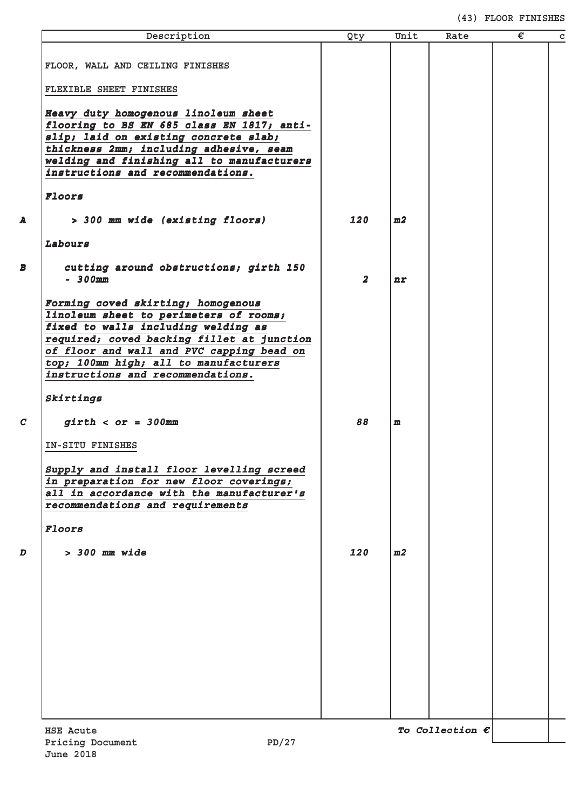# **(43) FLOOR FINISHES**

| Description                                                                                                                                                                                                                                                                                  | Qty            | Unit | Rate                     | € | $\mathbf C$ |
|----------------------------------------------------------------------------------------------------------------------------------------------------------------------------------------------------------------------------------------------------------------------------------------------|----------------|------|--------------------------|---|-------------|
| FLOOR, WALL AND CEILING FINISHES                                                                                                                                                                                                                                                             |                |      |                          |   |             |
|                                                                                                                                                                                                                                                                                              |                |      |                          |   |             |
| FLEXIBLE SHEET FINISHES                                                                                                                                                                                                                                                                      |                |      |                          |   |             |
| Heavy duty homogenous linoleum sheet<br>flooring to BS EN 685 class EN 1817; anti-                                                                                                                                                                                                           |                |      |                          |   |             |
| slip; laid on existing concrete slab;<br>thickness 2mm; including adhesive, seam                                                                                                                                                                                                             |                |      |                          |   |             |
| welding and finishing all to manufacturers                                                                                                                                                                                                                                                   |                |      |                          |   |             |
| instructions and recommendations.                                                                                                                                                                                                                                                            |                |      |                          |   |             |
| Floors                                                                                                                                                                                                                                                                                       |                |      |                          |   |             |
| > 300 mm wide (existing floors)                                                                                                                                                                                                                                                              | 120            | m2   |                          |   |             |
| Labours                                                                                                                                                                                                                                                                                      |                |      |                          |   |             |
| cutting around obstructions; girth 150<br>$-300$ mm                                                                                                                                                                                                                                          | $\overline{a}$ | nr   |                          |   |             |
| Forming coved skirting; homogenous<br>linoleum sheet to perimeters of rooms;<br>fixed to walls including welding as<br>required; coved backing fillet at junction<br>of floor and wall and PVC capping bead on<br>top; 100mm high; all to manufacturers<br>instructions and recommendations. |                |      |                          |   |             |
| Skirtings                                                                                                                                                                                                                                                                                    |                |      |                          |   |             |
| $girth ~ < or ~ = ~ 300mm$                                                                                                                                                                                                                                                                   | 88             | m    |                          |   |             |
| IN-SITU FINISHES                                                                                                                                                                                                                                                                             |                |      |                          |   |             |
| Supply and install floor levelling screed<br>in preparation for new floor coverings;<br>all in accordance with the manufacturer's<br>recommendations and requirements                                                                                                                        |                |      |                          |   |             |
| Floors                                                                                                                                                                                                                                                                                       |                |      |                          |   |             |
| $> 300$ mm wide                                                                                                                                                                                                                                                                              | 120            | m2   |                          |   |             |
|                                                                                                                                                                                                                                                                                              |                |      |                          |   |             |
|                                                                                                                                                                                                                                                                                              |                |      |                          |   |             |
|                                                                                                                                                                                                                                                                                              |                |      |                          |   |             |
|                                                                                                                                                                                                                                                                                              |                |      |                          |   |             |
|                                                                                                                                                                                                                                                                                              |                |      |                          |   |             |
|                                                                                                                                                                                                                                                                                              |                |      |                          |   |             |
|                                                                                                                                                                                                                                                                                              |                |      |                          |   |             |
|                                                                                                                                                                                                                                                                                              |                |      |                          |   |             |
| <b>HSE Acute</b><br>2.7 חפ<br>Pricing Document                                                                                                                                                                                                                                               |                |      | To Collection $\epsilon$ |   |             |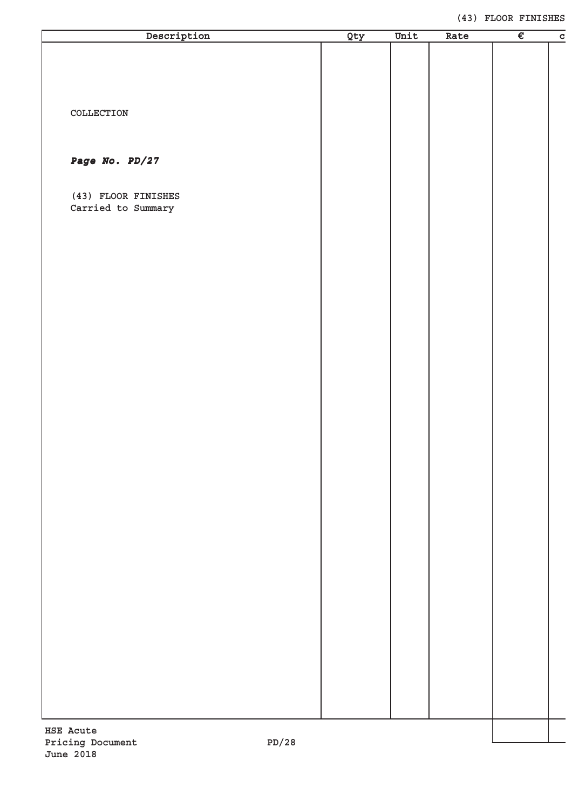#### **(43) FLOOR FINISHES**

| Description               | Qty | Unit | Rate | $\overline{\epsilon}$ | $\overline{c}$ |
|---------------------------|-----|------|------|-----------------------|----------------|
|                           |     |      |      |                       |                |
|                           |     |      |      |                       |                |
|                           |     |      |      |                       |                |
|                           |     |      |      |                       |                |
| $\verb"COLLECTION"$       |     |      |      |                       |                |
|                           |     |      |      |                       |                |
|                           |     |      |      |                       |                |
| Page No. PD/27            |     |      |      |                       |                |
|                           |     |      |      |                       |                |
| (43) FLOOR FINISHES       |     |      |      |                       |                |
| Carried to Summary        |     |      |      |                       |                |
|                           |     |      |      |                       |                |
|                           |     |      |      |                       |                |
|                           |     |      |      |                       |                |
|                           |     |      |      |                       |                |
|                           |     |      |      |                       |                |
|                           |     |      |      |                       |                |
|                           |     |      |      |                       |                |
|                           |     |      |      |                       |                |
|                           |     |      |      |                       |                |
|                           |     |      |      |                       |                |
|                           |     |      |      |                       |                |
|                           |     |      |      |                       |                |
|                           |     |      |      |                       |                |
|                           |     |      |      |                       |                |
|                           |     |      |      |                       |                |
|                           |     |      |      |                       |                |
|                           |     |      |      |                       |                |
|                           |     |      |      |                       |                |
|                           |     |      |      |                       |                |
|                           |     |      |      |                       |                |
|                           |     |      |      |                       |                |
|                           |     |      |      |                       |                |
|                           |     |      |      |                       |                |
|                           |     |      |      |                       |                |
|                           |     |      |      |                       |                |
|                           |     |      |      |                       |                |
|                           |     |      |      |                       |                |
|                           |     |      |      |                       |                |
|                           |     |      |      |                       |                |
|                           |     |      |      |                       |                |
|                           |     |      |      |                       |                |
|                           |     |      |      |                       |                |
|                           |     |      |      |                       |                |
| HSE Acute                 |     |      |      |                       |                |
| PD/28<br>Pricing Document |     |      |      |                       |                |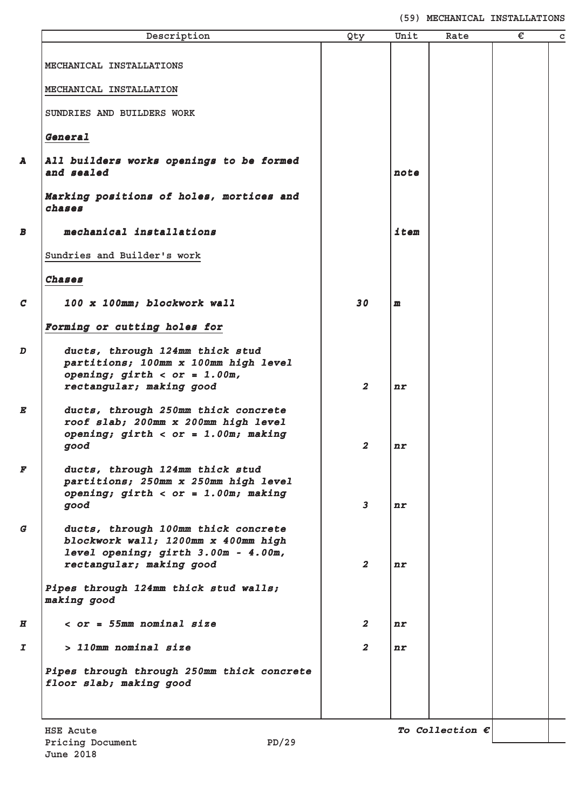**(59) MECHANICAL INSTALLATIONS**

|                  | Description                                                                                                                                   | Qty                     | Unit         | Rate                     | € | C |
|------------------|-----------------------------------------------------------------------------------------------------------------------------------------------|-------------------------|--------------|--------------------------|---|---|
|                  |                                                                                                                                               |                         |              |                          |   |   |
|                  | MECHANICAL INSTALLATIONS                                                                                                                      |                         |              |                          |   |   |
|                  | MECHANICAL INSTALLATION                                                                                                                       |                         |              |                          |   |   |
|                  | SUNDRIES AND BUILDERS WORK                                                                                                                    |                         |              |                          |   |   |
|                  | General                                                                                                                                       |                         |              |                          |   |   |
| A                | All builders works openings to be formed<br>and sealed                                                                                        |                         | note         |                          |   |   |
|                  | Marking positions of holes, mortices and<br>chases                                                                                            |                         |              |                          |   |   |
| В                | mechanical installations                                                                                                                      |                         | item         |                          |   |   |
|                  | Sundries and Builder's work                                                                                                                   |                         |              |                          |   |   |
|                  | Chases                                                                                                                                        |                         |              |                          |   |   |
| $\mathcal{C}$    | 100 x 100mm; blockwork wall                                                                                                                   | 30                      | $\mathbf{m}$ |                          |   |   |
|                  | Forming or cutting holes for                                                                                                                  |                         |              |                          |   |   |
| D                | ducts, through 124mm thick stud<br>partitions; 100mm x 100mm high level<br>opening; $girth < or = 1.00m$ ,                                    |                         |              |                          |   |   |
|                  | rectangular; making good                                                                                                                      | $\overline{\mathbf{z}}$ | nr           |                          |   |   |
| E                | ducts, through 250mm thick concrete<br>roof slab; 200mm x 200mm high level<br>opening; $girth < or = 1.00m$ ; making<br>good                  | $\boldsymbol{2}$        | n r          |                          |   |   |
| F                | ducts, through 124mm thick stud<br>partitions; 250mm x 250mm high level<br>opening; $girth < or = 1.00m;$ making                              |                         |              |                          |   |   |
|                  | good                                                                                                                                          | $\mathbf{3}$            | n r          |                          |   |   |
| G                | ducts, through 100mm thick concrete<br>blockwork wall; 1200mm x 400mm high<br>level opening; girth 3.00m - 4.00m,<br>rectangular; making good | $\overline{2}$          | n r          |                          |   |   |
|                  | Pipes through 124mm thick stud walls;<br>making good                                                                                          |                         |              |                          |   |   |
| $\boldsymbol{H}$ | $<$ or = 55mm nominal size                                                                                                                    | $\boldsymbol{2}$        | nr           |                          |   |   |
| $\overline{I}$   | > 110mm nominal size                                                                                                                          | $\overline{\mathbf{2}}$ | nr           |                          |   |   |
|                  | Pipes through through 250mm thick concrete<br>floor slab; making good                                                                         |                         |              |                          |   |   |
|                  | <b>HSE Acute</b>                                                                                                                              |                         |              | To Collection $\epsilon$ |   |   |
|                  | PD/29<br>Pricing Document                                                                                                                     |                         |              |                          |   |   |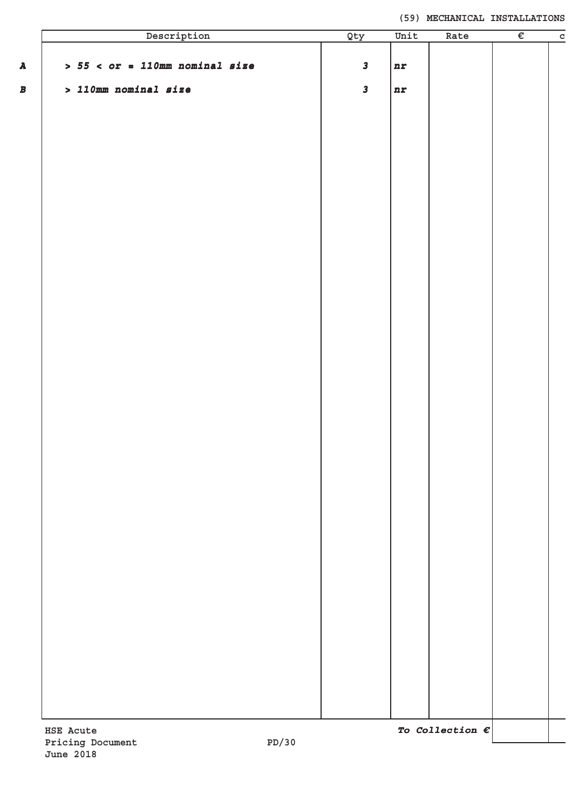| Description                       | Qty          | Unit | Rate | $\overline{\epsilon}$ |
|-----------------------------------|--------------|------|------|-----------------------|
|                                   |              |      |      |                       |
| $> 55 < or = 110$ mm nominal size | $\mathbf{3}$ | nr   |      |                       |
| $> 110$ mm nominal size           | $\mathbf{3}$ | nr   |      |                       |
|                                   |              |      |      |                       |
|                                   |              |      |      |                       |
|                                   |              |      |      |                       |
|                                   |              |      |      |                       |
|                                   |              |      |      |                       |
|                                   |              |      |      |                       |
|                                   |              |      |      |                       |
|                                   |              |      |      |                       |
|                                   |              |      |      |                       |
|                                   |              |      |      |                       |
|                                   |              |      |      |                       |
|                                   |              |      |      |                       |
|                                   |              |      |      |                       |
|                                   |              |      |      |                       |
|                                   |              |      |      |                       |
|                                   |              |      |      |                       |
|                                   |              |      |      |                       |
|                                   |              |      |      |                       |
|                                   |              |      |      |                       |
|                                   |              |      |      |                       |
|                                   |              |      |      |                       |
|                                   |              |      |      |                       |
|                                   |              |      |      |                       |
|                                   |              |      |      |                       |
|                                   |              |      |      |                       |
|                                   |              |      |      |                       |
|                                   |              |      |      |                       |
|                                   |              |      |      |                       |
|                                   |              |      |      |                       |
|                                   |              |      |      |                       |
|                                   |              |      |      |                       |
|                                   |              |      |      |                       |
|                                   |              |      |      |                       |
|                                   |              |      |      |                       |
|                                   |              |      |      |                       |
|                                   |              |      |      |                       |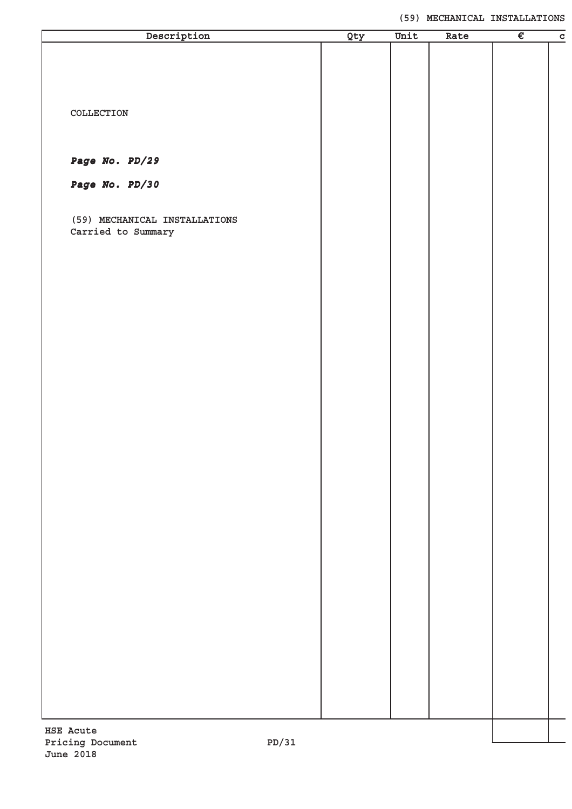| Description                   | Qty | Unit | Rate | $\overline{\epsilon}$ | $\overline{c}$ |
|-------------------------------|-----|------|------|-----------------------|----------------|
|                               |     |      |      |                       |                |
|                               |     |      |      |                       |                |
|                               |     |      |      |                       |                |
|                               |     |      |      |                       |                |
| COLLECTION                    |     |      |      |                       |                |
|                               |     |      |      |                       |                |
|                               |     |      |      |                       |                |
| Page No. PD/29                |     |      |      |                       |                |
| Page No. PD/30                |     |      |      |                       |                |
|                               |     |      |      |                       |                |
| (59) MECHANICAL INSTALLATIONS |     |      |      |                       |                |
| Carried to Summary            |     |      |      |                       |                |
|                               |     |      |      |                       |                |
|                               |     |      |      |                       |                |
|                               |     |      |      |                       |                |
|                               |     |      |      |                       |                |
|                               |     |      |      |                       |                |
|                               |     |      |      |                       |                |
|                               |     |      |      |                       |                |
|                               |     |      |      |                       |                |
|                               |     |      |      |                       |                |
|                               |     |      |      |                       |                |
|                               |     |      |      |                       |                |
|                               |     |      |      |                       |                |
|                               |     |      |      |                       |                |
|                               |     |      |      |                       |                |
|                               |     |      |      |                       |                |
|                               |     |      |      |                       |                |
|                               |     |      |      |                       |                |
|                               |     |      |      |                       |                |
|                               |     |      |      |                       |                |
|                               |     |      |      |                       |                |
|                               |     |      |      |                       |                |
|                               |     |      |      |                       |                |
|                               |     |      |      |                       |                |
|                               |     |      |      |                       |                |
|                               |     |      |      |                       |                |
|                               |     |      |      |                       |                |
|                               |     |      |      |                       |                |
|                               |     |      |      |                       |                |
|                               |     |      |      |                       |                |
| <b>HSE Acute</b>              |     |      |      |                       |                |
| Pricing Document<br>1?/תק     |     |      |      |                       |                |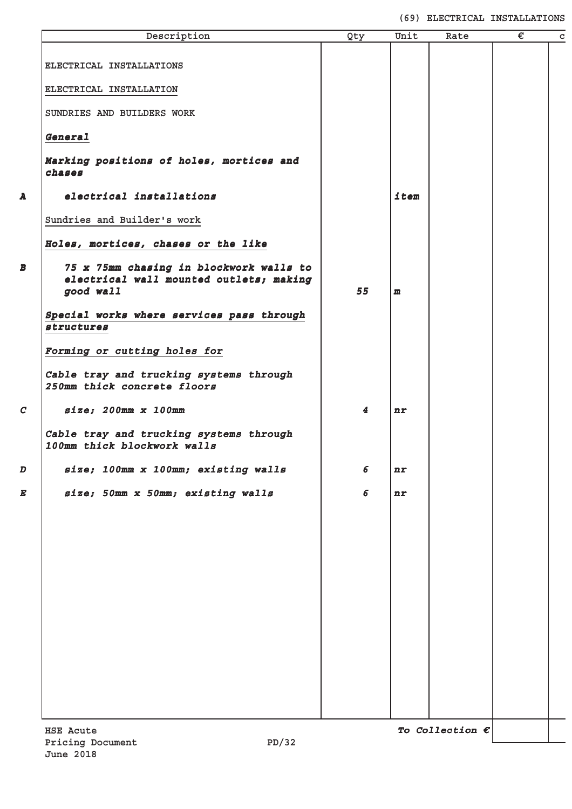**(69) ELECTRICAL INSTALLATIONS**

|                     | Description                                                                                     | Qty                     | Unit         | Rate                     | € | $\mathbf c$ |
|---------------------|-------------------------------------------------------------------------------------------------|-------------------------|--------------|--------------------------|---|-------------|
|                     | ELECTRICAL INSTALLATIONS                                                                        |                         |              |                          |   |             |
|                     | ELECTRICAL INSTALLATION                                                                         |                         |              |                          |   |             |
|                     | SUNDRIES AND BUILDERS WORK                                                                      |                         |              |                          |   |             |
|                     | General                                                                                         |                         |              |                          |   |             |
|                     | Marking positions of holes, mortices and<br>chases                                              |                         |              |                          |   |             |
| A                   | electrical installations                                                                        |                         | item         |                          |   |             |
|                     | Sundries and Builder's work                                                                     |                         |              |                          |   |             |
|                     | Holes, mortices, chases or the like                                                             |                         |              |                          |   |             |
| $\overline{\bm{B}}$ | 75 x 75mm chasing in blockwork walls to<br>electrical wall mounted outlets; making<br>good wall | 55                      | $\mathbf{m}$ |                          |   |             |
|                     | Special works where services pass through<br>structures                                         |                         |              |                          |   |             |
|                     | Forming or cutting holes for                                                                    |                         |              |                          |   |             |
|                     | Cable tray and trucking systems through<br>250mm thick concrete floors                          |                         |              |                          |   |             |
| $\mathcal{C}$       | size; 200mm x 100mm                                                                             | $\overline{\mathbf{4}}$ | nr           |                          |   |             |
|                     | Cable tray and trucking systems through<br>100mm thick blockwork walls                          |                         |              |                          |   |             |
| D                   | size; 100mm x 100mm; existing walls                                                             | 6                       | nr           |                          |   |             |
| E                   | size; 50mm x 50mm; existing walls                                                               | 6                       | nr           |                          |   |             |
|                     |                                                                                                 |                         |              |                          |   |             |
|                     |                                                                                                 |                         |              |                          |   |             |
|                     |                                                                                                 |                         |              |                          |   |             |
|                     |                                                                                                 |                         |              |                          |   |             |
|                     |                                                                                                 |                         |              |                          |   |             |
|                     |                                                                                                 |                         |              |                          |   |             |
|                     |                                                                                                 |                         |              |                          |   |             |
|                     |                                                                                                 |                         |              |                          |   |             |
|                     |                                                                                                 |                         |              |                          |   |             |
|                     | <b>HSE Acute</b>                                                                                |                         |              | To Collection $\epsilon$ |   |             |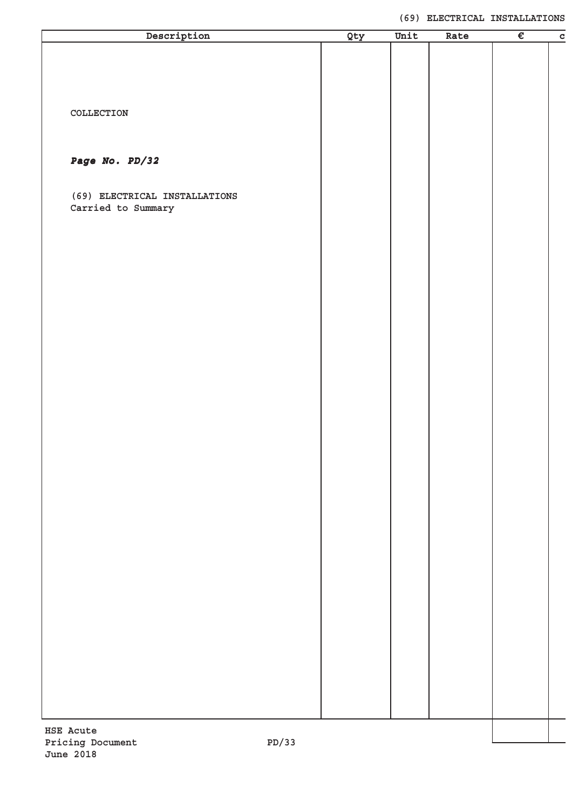#### **(69) ELECTRICAL INSTALLATIONS**

| Description                   | Qty | Unit | Rate | $\overline{\epsilon}$ | $\mathbf C$ |
|-------------------------------|-----|------|------|-----------------------|-------------|
|                               |     |      |      |                       |             |
|                               |     |      |      |                       |             |
|                               |     |      |      |                       |             |
|                               |     |      |      |                       |             |
|                               |     |      |      |                       |             |
| COLLECTION                    |     |      |      |                       |             |
|                               |     |      |      |                       |             |
|                               |     |      |      |                       |             |
|                               |     |      |      |                       |             |
| Page No. PD/32                |     |      |      |                       |             |
|                               |     |      |      |                       |             |
| (69) ELECTRICAL INSTALLATIONS |     |      |      |                       |             |
| Carried to Summary            |     |      |      |                       |             |
|                               |     |      |      |                       |             |
|                               |     |      |      |                       |             |
|                               |     |      |      |                       |             |
|                               |     |      |      |                       |             |
|                               |     |      |      |                       |             |
|                               |     |      |      |                       |             |
|                               |     |      |      |                       |             |
|                               |     |      |      |                       |             |
|                               |     |      |      |                       |             |
|                               |     |      |      |                       |             |
|                               |     |      |      |                       |             |
|                               |     |      |      |                       |             |
|                               |     |      |      |                       |             |
|                               |     |      |      |                       |             |
|                               |     |      |      |                       |             |
|                               |     |      |      |                       |             |
|                               |     |      |      |                       |             |
|                               |     |      |      |                       |             |
|                               |     |      |      |                       |             |
|                               |     |      |      |                       |             |
|                               |     |      |      |                       |             |
|                               |     |      |      |                       |             |
|                               |     |      |      |                       |             |
|                               |     |      |      |                       |             |
|                               |     |      |      |                       |             |
|                               |     |      |      |                       |             |
|                               |     |      |      |                       |             |
|                               |     |      |      |                       |             |
|                               |     |      |      |                       |             |
|                               |     |      |      |                       |             |
|                               |     |      |      |                       |             |
|                               |     |      |      |                       |             |
|                               |     |      |      |                       |             |
|                               |     |      |      |                       |             |
|                               |     |      |      |                       |             |
|                               |     |      |      |                       |             |
|                               |     |      |      |                       |             |
|                               |     |      |      |                       |             |
|                               |     |      |      |                       |             |
|                               |     |      |      |                       |             |
|                               |     |      |      |                       |             |
| HSE Acute                     |     |      |      |                       |             |
| גג/ חם<br>Driging Document    |     |      |      |                       |             |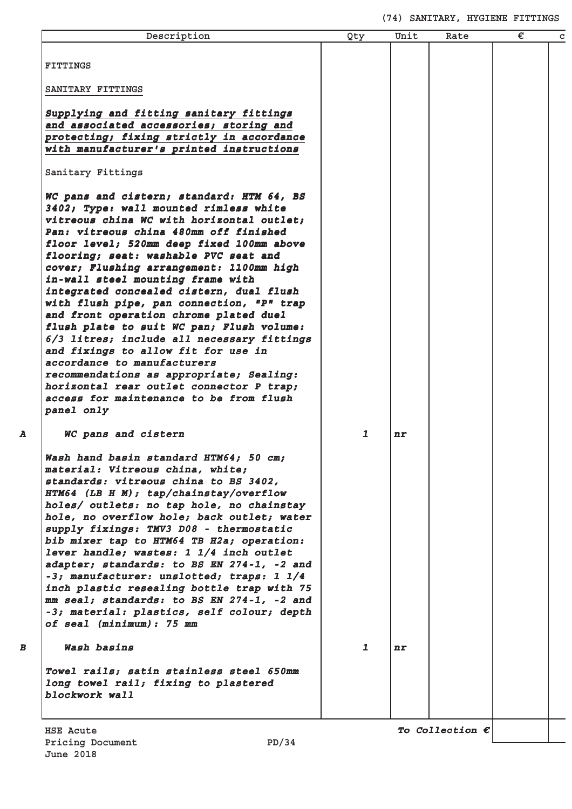# **(74) SANITARY, HYGIENE FITTINGS**

| Description                                                                             | Qty          | Unit    | Rate                     | € | C |
|-----------------------------------------------------------------------------------------|--------------|---------|--------------------------|---|---|
| <b>FITTINGS</b>                                                                         |              |         |                          |   |   |
| SANITARY FITTINGS                                                                       |              |         |                          |   |   |
| Supplying and fitting sanitary fittings                                                 |              |         |                          |   |   |
| and associated accessories; storing and<br>protecting; fixing strictly in accordance    |              |         |                          |   |   |
| with manufacturer's printed instructions                                                |              |         |                          |   |   |
| Sanitary Fittings                                                                       |              |         |                          |   |   |
| WC pans and cistern; standard: HTM 64, BS                                               |              |         |                          |   |   |
| 3402; Type: wall mounted rimless white                                                  |              |         |                          |   |   |
| vitreous china WC with horizontal outlet;<br>Pan: vitreous china 480mm off finished     |              |         |                          |   |   |
| floor level; 520mm deep fixed 100mm above                                               |              |         |                          |   |   |
| flooring; seat: washable PVC seat and                                                   |              |         |                          |   |   |
| cover; Flushing arrangement: 1100mm high                                                |              |         |                          |   |   |
| in-wall steel mounting frame with                                                       |              |         |                          |   |   |
| integrated concealed cistern, dual flush                                                |              |         |                          |   |   |
| with flush pipe, pan connection, "P" trap<br>and front operation chrome plated duel     |              |         |                          |   |   |
| flush plate to suit WC pan; Flush volume:                                               |              |         |                          |   |   |
| 6/3 litres; include all necessary fittings                                              |              |         |                          |   |   |
| and fixings to allow fit for use in                                                     |              |         |                          |   |   |
| accordance to manufacturers                                                             |              |         |                          |   |   |
| recommendations as appropriate; Sealing:<br>horizontal rear outlet connector P trap;    |              |         |                          |   |   |
| access for maintenance to be from flush                                                 |              |         |                          |   |   |
| panel only                                                                              |              |         |                          |   |   |
| WC pans and cistern                                                                     | 1            | $n_{r}$ |                          |   |   |
| Wash hand basin standard HTM64; 50 cm;                                                  |              |         |                          |   |   |
| material: Vitreous china, white;                                                        |              |         |                          |   |   |
| standards: vitreous china to BS 3402,                                                   |              |         |                          |   |   |
| HTM64 (LB H M); tap/chainstay/overflow<br>holes/ outlets: no tap hole, no chainstay     |              |         |                          |   |   |
| hole, no overflow hole; back outlet; water                                              |              |         |                          |   |   |
| supply fixings: TMV3 D08 - thermostatic                                                 |              |         |                          |   |   |
| bib mixer tap to HTM64 TB H2a; operation:                                               |              |         |                          |   |   |
| lever handle; wastes: 1 1/4 inch outlet                                                 |              |         |                          |   |   |
| adapter; standards: to BS EN 274-1, -2 and                                              |              |         |                          |   |   |
| -3; manufacturer: unslotted; traps: 1 1/4<br>inch plastic resealing bottle trap with 75 |              |         |                          |   |   |
| mm seal; standards: to BS EN 274-1, -2 and                                              |              |         |                          |   |   |
| -3; material: plastics, self colour; depth                                              |              |         |                          |   |   |
| of seal (minimum): 75 mm                                                                |              |         |                          |   |   |
| Wash basins                                                                             | $\mathbf{1}$ | $n_{r}$ |                          |   |   |
| Towel rails; satin stainless steel 650mm                                                |              |         |                          |   |   |
| long towel rail; fixing to plastered                                                    |              |         |                          |   |   |
| blockwork wall                                                                          |              |         |                          |   |   |
|                                                                                         |              |         |                          |   |   |
| HSE Acute                                                                               |              |         | To Collection $\epsilon$ |   |   |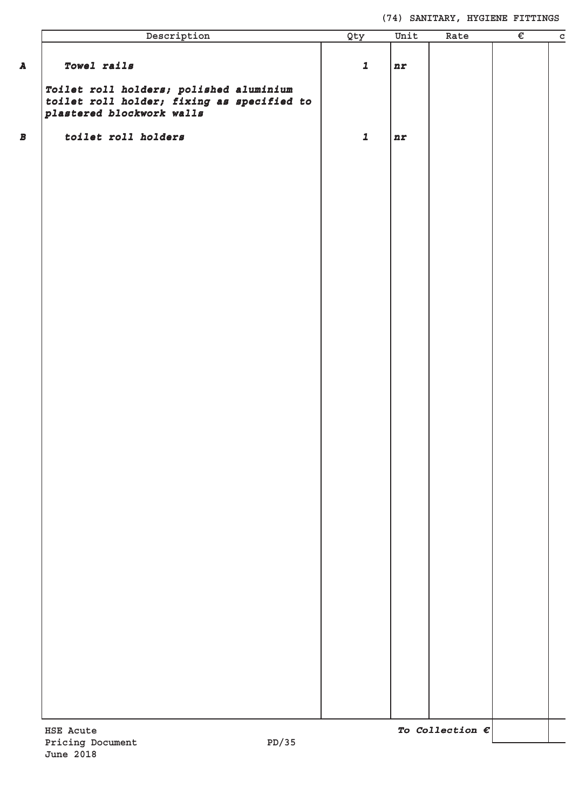# **(74) SANITARY, HYGIENE FITTINGS**

| Description                                                                                                        | Qty         | Unit | Rate                     | € | $\overline{c}$ |
|--------------------------------------------------------------------------------------------------------------------|-------------|------|--------------------------|---|----------------|
| Towel rails                                                                                                        | $\mathbf 1$ | nr   |                          |   |                |
| Toilet roll holders; polished aluminium<br>toilet roll holder; fixing as specified to<br>plastered blockwork walls |             |      |                          |   |                |
| toilet roll holders                                                                                                | $\mathbf 1$ | nr   |                          |   |                |
|                                                                                                                    |             |      |                          |   |                |
|                                                                                                                    |             |      |                          |   |                |
|                                                                                                                    |             |      |                          |   |                |
|                                                                                                                    |             |      |                          |   |                |
|                                                                                                                    |             |      |                          |   |                |
|                                                                                                                    |             |      |                          |   |                |
|                                                                                                                    |             |      |                          |   |                |
|                                                                                                                    |             |      |                          |   |                |
|                                                                                                                    |             |      |                          |   |                |
|                                                                                                                    |             |      |                          |   |                |
|                                                                                                                    |             |      |                          |   |                |
|                                                                                                                    |             |      |                          |   |                |
|                                                                                                                    |             |      |                          |   |                |
|                                                                                                                    |             |      |                          |   |                |
|                                                                                                                    |             |      |                          |   |                |
|                                                                                                                    |             |      |                          |   |                |
|                                                                                                                    |             |      |                          |   |                |
|                                                                                                                    |             |      |                          |   |                |
|                                                                                                                    |             |      |                          |   |                |
|                                                                                                                    |             |      |                          |   |                |
|                                                                                                                    |             |      |                          |   |                |
|                                                                                                                    |             |      |                          |   |                |
|                                                                                                                    |             |      |                          |   |                |
| HSE Acute                                                                                                          |             |      | To Collection $\epsilon$ |   |                |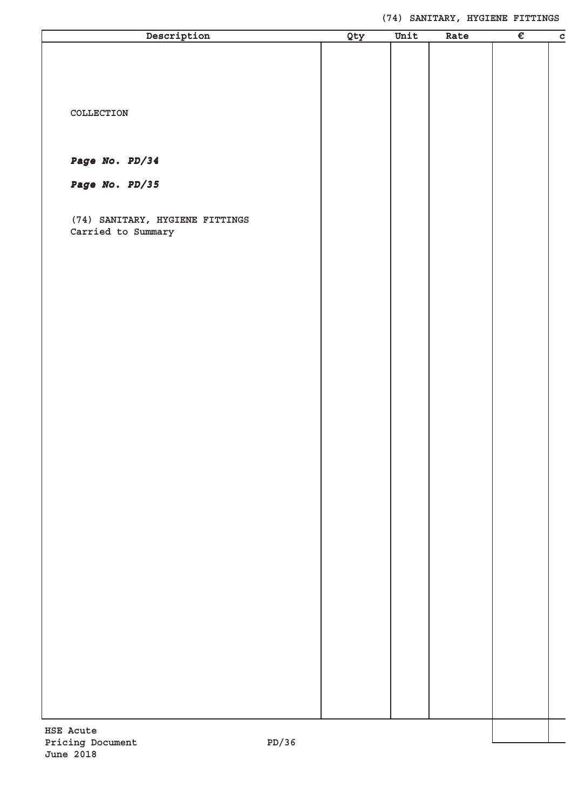| Description                                           | Qty | Unit | Rate | $\overline{\epsilon}$ | $\mathbf c$ |
|-------------------------------------------------------|-----|------|------|-----------------------|-------------|
|                                                       |     |      |      |                       |             |
|                                                       |     |      |      |                       |             |
|                                                       |     |      |      |                       |             |
|                                                       |     |      |      |                       |             |
| COLLECTION                                            |     |      |      |                       |             |
|                                                       |     |      |      |                       |             |
|                                                       |     |      |      |                       |             |
| Page No. PD/34                                        |     |      |      |                       |             |
| Page No. PD/35                                        |     |      |      |                       |             |
|                                                       |     |      |      |                       |             |
|                                                       |     |      |      |                       |             |
| (74) SANITARY, HYGIENE FITTINGS<br>Carried to Summary |     |      |      |                       |             |
|                                                       |     |      |      |                       |             |
|                                                       |     |      |      |                       |             |
|                                                       |     |      |      |                       |             |
|                                                       |     |      |      |                       |             |
|                                                       |     |      |      |                       |             |
|                                                       |     |      |      |                       |             |
|                                                       |     |      |      |                       |             |
|                                                       |     |      |      |                       |             |
|                                                       |     |      |      |                       |             |
|                                                       |     |      |      |                       |             |
|                                                       |     |      |      |                       |             |
|                                                       |     |      |      |                       |             |
|                                                       |     |      |      |                       |             |
|                                                       |     |      |      |                       |             |
|                                                       |     |      |      |                       |             |
|                                                       |     |      |      |                       |             |
|                                                       |     |      |      |                       |             |
|                                                       |     |      |      |                       |             |
|                                                       |     |      |      |                       |             |
|                                                       |     |      |      |                       |             |
|                                                       |     |      |      |                       |             |
|                                                       |     |      |      |                       |             |
|                                                       |     |      |      |                       |             |
|                                                       |     |      |      |                       |             |
|                                                       |     |      |      |                       |             |
|                                                       |     |      |      |                       |             |
|                                                       |     |      |      |                       |             |
|                                                       |     |      |      |                       |             |
|                                                       |     |      |      |                       |             |
|                                                       |     |      |      |                       |             |
| <b>HSE Acute</b>                                      |     |      |      |                       |             |
| PD/36<br>Pricing Document                             |     |      |      |                       |             |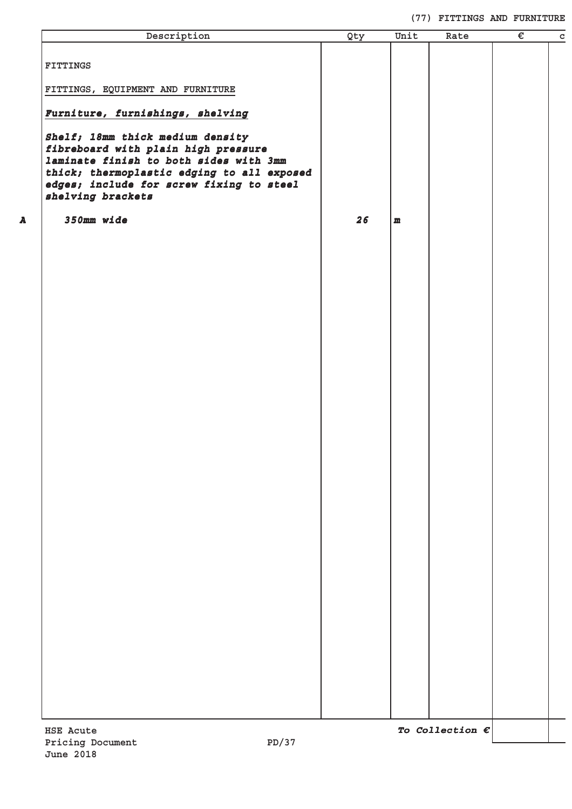#### **(77) FITTINGS AND FURNITURE**

| Description                                                                                                                                                                                                                      | Qty | Unit         | Rate                     | $\overline{\epsilon}$ | $\mathtt{C}$ |
|----------------------------------------------------------------------------------------------------------------------------------------------------------------------------------------------------------------------------------|-----|--------------|--------------------------|-----------------------|--------------|
| <b>FITTINGS</b>                                                                                                                                                                                                                  |     |              |                          |                       |              |
| FITTINGS, EQUIPMENT AND FURNITURE                                                                                                                                                                                                |     |              |                          |                       |              |
| Furniture, furnishings, shelving                                                                                                                                                                                                 |     |              |                          |                       |              |
| Shelf; 18mm thick medium density<br>fibreboard with plain high pressure<br>laminate finish to both sides with 3mm<br>thick; thermoplastic edging to all exposed<br>edges; include for screw fixing to steel<br>shelving brackets |     |              |                          |                       |              |
| 350mm wide                                                                                                                                                                                                                       | 26  | $\mathbf{m}$ |                          |                       |              |
|                                                                                                                                                                                                                                  |     |              |                          |                       |              |
|                                                                                                                                                                                                                                  |     |              |                          |                       |              |
|                                                                                                                                                                                                                                  |     |              |                          |                       |              |
|                                                                                                                                                                                                                                  |     |              |                          |                       |              |
|                                                                                                                                                                                                                                  |     |              |                          |                       |              |
|                                                                                                                                                                                                                                  |     |              |                          |                       |              |
|                                                                                                                                                                                                                                  |     |              |                          |                       |              |
|                                                                                                                                                                                                                                  |     |              |                          |                       |              |
|                                                                                                                                                                                                                                  |     |              |                          |                       |              |
|                                                                                                                                                                                                                                  |     |              |                          |                       |              |
|                                                                                                                                                                                                                                  |     |              |                          |                       |              |
|                                                                                                                                                                                                                                  |     |              |                          |                       |              |
|                                                                                                                                                                                                                                  |     |              |                          |                       |              |
|                                                                                                                                                                                                                                  |     |              |                          |                       |              |
|                                                                                                                                                                                                                                  |     |              |                          |                       |              |
|                                                                                                                                                                                                                                  |     |              |                          |                       |              |
|                                                                                                                                                                                                                                  |     |              |                          |                       |              |
|                                                                                                                                                                                                                                  |     |              |                          |                       |              |
| <b>HSE Acute</b><br>PD/37<br>Pricing Document                                                                                                                                                                                    |     |              | To Collection $\epsilon$ |                       |              |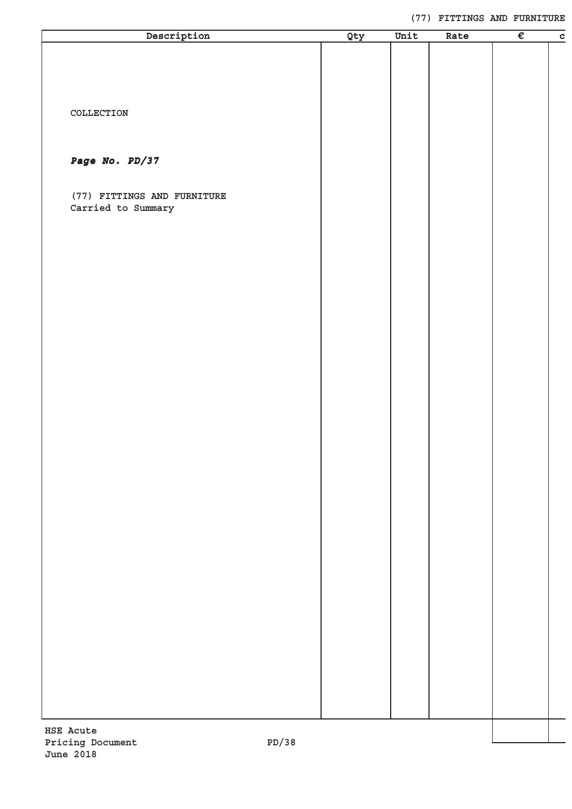#### **(77) FITTINGS AND FURNITURE**

| Description                                   | Qty | Unit | Rate | $\overline{\epsilon}$ | $\mathbf C$ |
|-----------------------------------------------|-----|------|------|-----------------------|-------------|
|                                               |     |      |      |                       |             |
|                                               |     |      |      |                       |             |
|                                               |     |      |      |                       |             |
|                                               |     |      |      |                       |             |
| $\verb"COLLECTION"$                           |     |      |      |                       |             |
|                                               |     |      |      |                       |             |
|                                               |     |      |      |                       |             |
| Page No. PD/37                                |     |      |      |                       |             |
|                                               |     |      |      |                       |             |
| (77) FITTINGS AND FURNITURE                   |     |      |      |                       |             |
| Carried to Summary                            |     |      |      |                       |             |
|                                               |     |      |      |                       |             |
|                                               |     |      |      |                       |             |
|                                               |     |      |      |                       |             |
|                                               |     |      |      |                       |             |
|                                               |     |      |      |                       |             |
|                                               |     |      |      |                       |             |
|                                               |     |      |      |                       |             |
|                                               |     |      |      |                       |             |
|                                               |     |      |      |                       |             |
|                                               |     |      |      |                       |             |
|                                               |     |      |      |                       |             |
|                                               |     |      |      |                       |             |
|                                               |     |      |      |                       |             |
|                                               |     |      |      |                       |             |
|                                               |     |      |      |                       |             |
|                                               |     |      |      |                       |             |
|                                               |     |      |      |                       |             |
|                                               |     |      |      |                       |             |
|                                               |     |      |      |                       |             |
|                                               |     |      |      |                       |             |
|                                               |     |      |      |                       |             |
|                                               |     |      |      |                       |             |
|                                               |     |      |      |                       |             |
|                                               |     |      |      |                       |             |
|                                               |     |      |      |                       |             |
|                                               |     |      |      |                       |             |
|                                               |     |      |      |                       |             |
|                                               |     |      |      |                       |             |
|                                               |     |      |      |                       |             |
|                                               |     |      |      |                       |             |
|                                               |     |      |      |                       |             |
|                                               |     |      |      |                       |             |
| <b>HSE Acute</b><br>Pricing Document<br>22/תם |     |      |      |                       |             |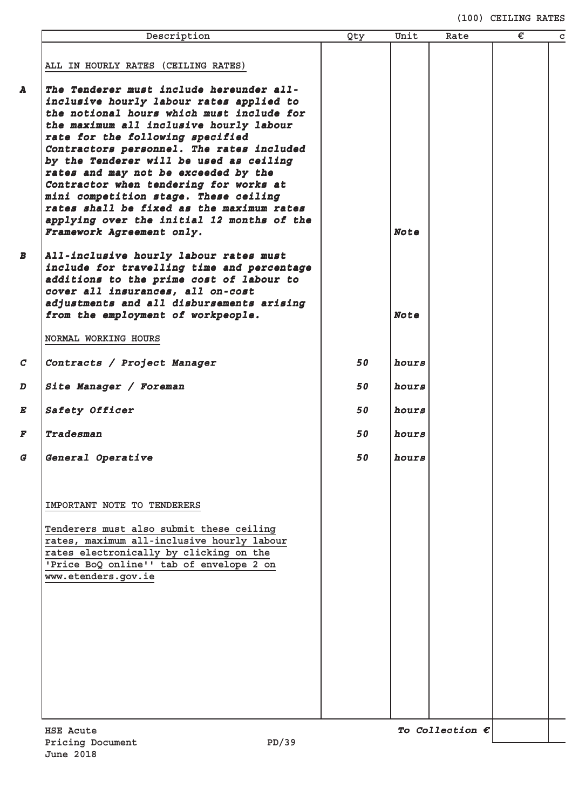#### **(100) CEILING RATES**

|                  | Description                                                                         | Qty | Unit        | Rate | € | $\mathbf c$ |
|------------------|-------------------------------------------------------------------------------------|-----|-------------|------|---|-------------|
|                  |                                                                                     |     |             |      |   |             |
|                  | ALL IN HOURLY RATES (CEILING RATES)                                                 |     |             |      |   |             |
| A                | The Tenderer must include hereunder all-                                            |     |             |      |   |             |
|                  | inclusive hourly labour rates applied to                                            |     |             |      |   |             |
|                  | the notional hours which must include for                                           |     |             |      |   |             |
|                  | the maximum all inclusive hourly labour                                             |     |             |      |   |             |
|                  | rate for the following specified                                                    |     |             |      |   |             |
|                  | Contractors personnel. The rates included                                           |     |             |      |   |             |
|                  | by the Tenderer will be used as ceiling                                             |     |             |      |   |             |
|                  | rates and may not be exceeded by the<br>Contractor when tendering for works at      |     |             |      |   |             |
|                  | mini competition stage. These ceiling                                               |     |             |      |   |             |
|                  | rates shall be fixed as the maximum rates                                           |     |             |      |   |             |
|                  | applying over the initial 12 months of the                                          |     |             |      |   |             |
|                  | Framework Agreement only.                                                           |     | <b>Note</b> |      |   |             |
|                  |                                                                                     |     |             |      |   |             |
| $\boldsymbol{B}$ | All-inclusive hourly labour rates must                                              |     |             |      |   |             |
|                  | include for travelling time and percentage                                          |     |             |      |   |             |
|                  | additions to the prime cost of labour to<br>cover all insurances, all on-cost       |     |             |      |   |             |
|                  | adjustments and all disbursements arising                                           |     |             |      |   |             |
|                  | from the employment of workpeople.                                                  |     | <b>Note</b> |      |   |             |
|                  |                                                                                     |     |             |      |   |             |
|                  | NORMAL WORKING HOURS                                                                |     |             |      |   |             |
| $\mathcal{C}$    | Contracts / Project Manager                                                         | 50  | hours       |      |   |             |
|                  |                                                                                     |     |             |      |   |             |
| D                | Site Manager / Foreman                                                              | 50  | hours       |      |   |             |
| E                | Safety Officer                                                                      | 50  | hours       |      |   |             |
|                  |                                                                                     |     |             |      |   |             |
| F                | Tradesman                                                                           | 50  | hours       |      |   |             |
| G                | General Operative                                                                   | 50  | hours       |      |   |             |
|                  |                                                                                     |     |             |      |   |             |
|                  |                                                                                     |     |             |      |   |             |
|                  | IMPORTANT NOTE TO TENDERERS                                                         |     |             |      |   |             |
|                  |                                                                                     |     |             |      |   |             |
|                  | Tenderers must also submit these ceiling                                            |     |             |      |   |             |
|                  | rates, maximum all-inclusive hourly labour                                          |     |             |      |   |             |
|                  | rates electronically by clicking on the<br>'Price BoQ online'' tab of envelope 2 on |     |             |      |   |             |
|                  | www.etenders.gov.ie                                                                 |     |             |      |   |             |
|                  |                                                                                     |     |             |      |   |             |
|                  |                                                                                     |     |             |      |   |             |
|                  |                                                                                     |     |             |      |   |             |
|                  |                                                                                     |     |             |      |   |             |
|                  |                                                                                     |     |             |      |   |             |
|                  |                                                                                     |     |             |      |   |             |
|                  |                                                                                     |     |             |      |   |             |
|                  |                                                                                     |     |             |      |   |             |
|                  |                                                                                     |     |             |      |   |             |
|                  |                                                                                     |     |             |      |   |             |
|                  |                                                                                     |     |             |      |   |             |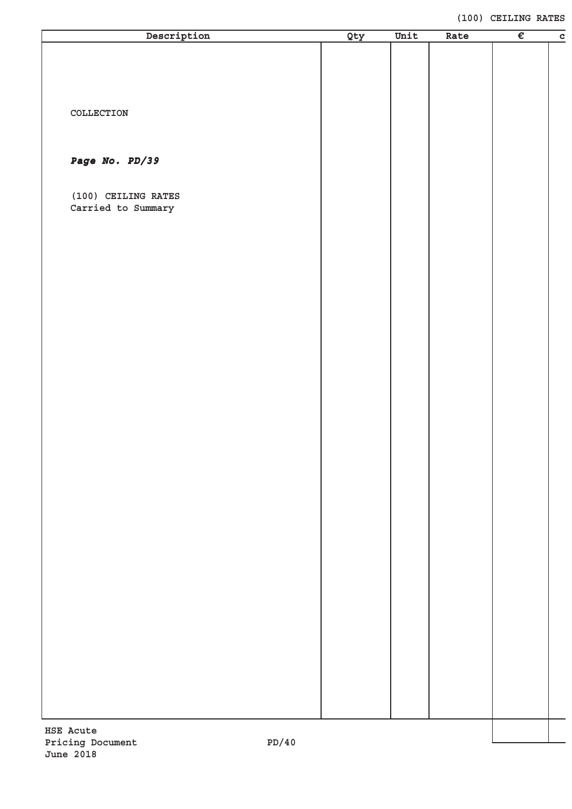#### **(100) CEILING RATES**

| Description                               | Qty | Unit | Rate | $\overline{\epsilon}$ | $\mathbf C$ |
|-------------------------------------------|-----|------|------|-----------------------|-------------|
|                                           |     |      |      |                       |             |
|                                           |     |      |      |                       |             |
|                                           |     |      |      |                       |             |
| COLLECTION                                |     |      |      |                       |             |
|                                           |     |      |      |                       |             |
| Page No. PD/39                            |     |      |      |                       |             |
|                                           |     |      |      |                       |             |
| (100) CEILING RATES<br>Carried to Summary |     |      |      |                       |             |
|                                           |     |      |      |                       |             |
|                                           |     |      |      |                       |             |
|                                           |     |      |      |                       |             |
|                                           |     |      |      |                       |             |
|                                           |     |      |      |                       |             |
|                                           |     |      |      |                       |             |
|                                           |     |      |      |                       |             |
|                                           |     |      |      |                       |             |
|                                           |     |      |      |                       |             |
|                                           |     |      |      |                       |             |
|                                           |     |      |      |                       |             |
|                                           |     |      |      |                       |             |
|                                           |     |      |      |                       |             |
|                                           |     |      |      |                       |             |
|                                           |     |      |      |                       |             |
|                                           |     |      |      |                       |             |
|                                           |     |      |      |                       |             |
|                                           |     |      |      |                       |             |
|                                           |     |      |      |                       |             |
|                                           |     |      |      |                       |             |
|                                           |     |      |      |                       |             |
|                                           |     |      |      |                       |             |
|                                           |     |      |      |                       |             |
|                                           |     |      |      |                       |             |
| <b>HSE Acute</b>                          |     |      |      |                       |             |
| 4.0 / תם<br>Driging Document              |     |      |      |                       |             |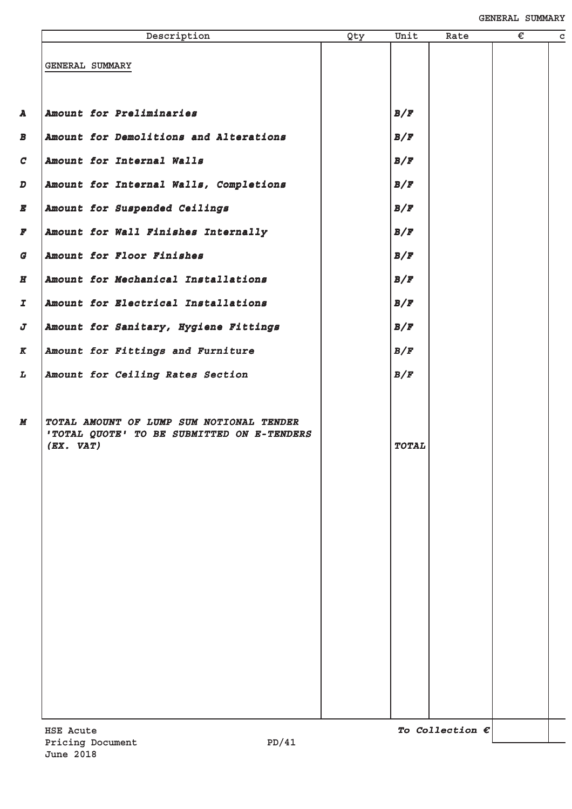| Description                                                                                             | Qty | Unit         | Rate                     | € | $\mathbf c$ |
|---------------------------------------------------------------------------------------------------------|-----|--------------|--------------------------|---|-------------|
| GENERAL SUMMARY                                                                                         |     |              |                          |   |             |
| Amount for Preliminaries                                                                                |     | B/F          |                          |   |             |
| Amount for Demolitions and Alterations                                                                  |     | B/F          |                          |   |             |
| Amount for Internal Walls                                                                               |     | B/F          |                          |   |             |
| Amount for Internal Walls, Completions                                                                  |     | B/F          |                          |   |             |
| Amount for Suspended Ceilings                                                                           |     | B/F          |                          |   |             |
| Amount for Wall Finishes Internally                                                                     |     | B/F          |                          |   |             |
| Amount for Floor Finishes                                                                               |     | B/F          |                          |   |             |
| Amount for Mechanical Installations                                                                     |     | B/F          |                          |   |             |
| Amount for Electrical Installations                                                                     |     | B/F          |                          |   |             |
| Amount for Sanitary, Hygiene Fittings                                                                   |     | B/F          |                          |   |             |
| Amount for Fittings and Furniture                                                                       |     | B/F          |                          |   |             |
| Amount for Ceiling Rates Section                                                                        |     | B/F          |                          |   |             |
| TOTAL AMOUNT OF LUMP SUM NOTIONAL TENDER<br>'TOTAL QUOTE' TO BE SUBMITTED ON E-TENDERS<br>$(EX.$ $VAT)$ |     | <b>TOTAL</b> |                          |   |             |
| <b>HSE Acute</b>                                                                                        |     |              | To Collection $\epsilon$ |   |             |
| PD/41<br>Pricing Document                                                                               |     |              |                          |   |             |